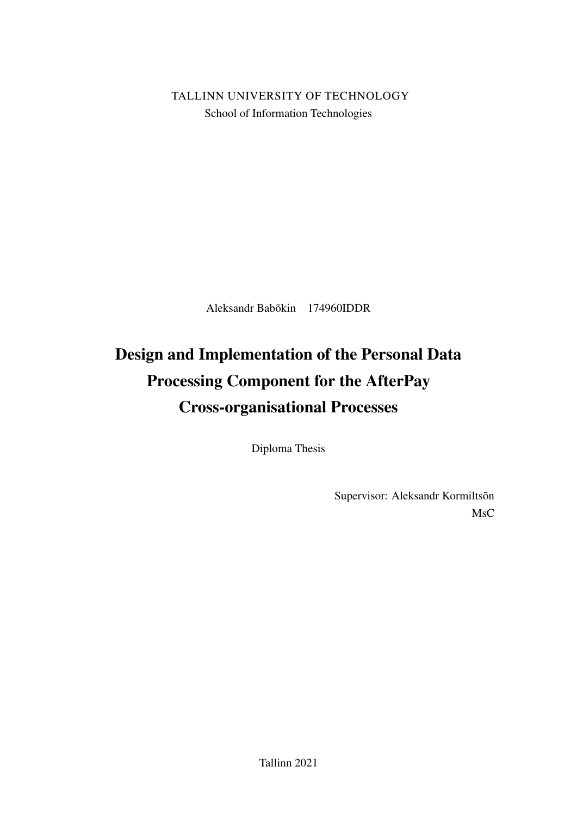TALLINN UNIVERSITY OF TECHNOLOGY School of Information Technologies

Aleksandr Babõkin 174960IDDR

# Design and Implementation of the Personal Data Processing Component for the AfterPay Cross-organisational Processes

Diploma Thesis

Supervisor: Aleksandr Kormiltsõn MsC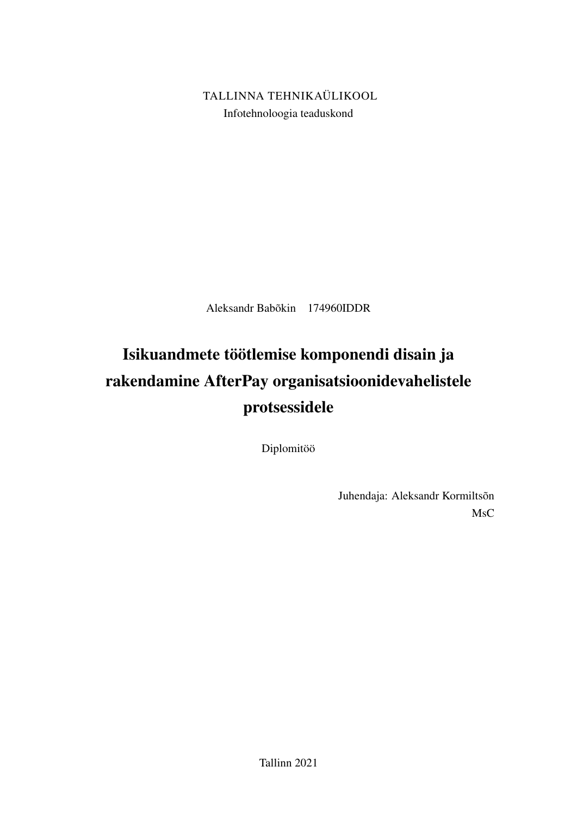TALLINNA TEHNIKAÜLIKOOL Infotehnoloogia teaduskond

Aleksandr Babõkin 174960IDDR

# Isikuandmete töötlemise komponendi disain ja rakendamine AfterPay organisatsioonidevahelistele protsessidele

Diplomitöö

Juhendaja: Aleksandr Kormiltsõn MsC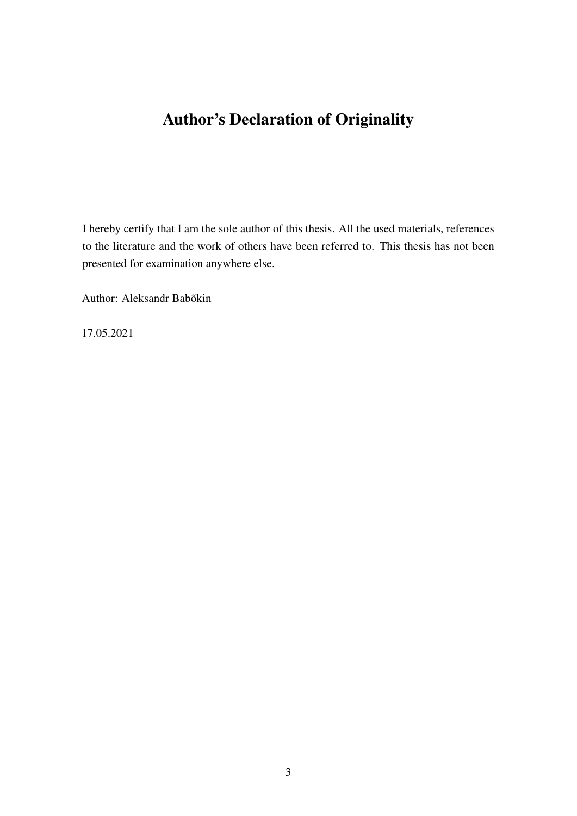# Author's Declaration of Originality

I hereby certify that I am the sole author of this thesis. All the used materials, references to the literature and the work of others have been referred to. This thesis has not been presented for examination anywhere else.

Author: Aleksandr Babõkin

17.05.2021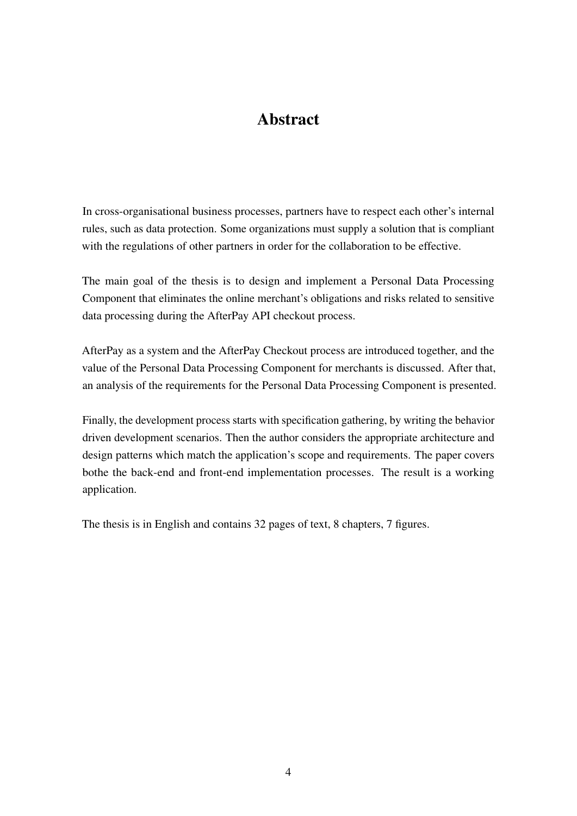# Abstract

In cross-organisational business processes, partners have to respect each other's internal rules, such as data protection. Some organizations must supply a solution that is compliant with the regulations of other partners in order for the collaboration to be effective.

The main goal of the thesis is to design and implement a Personal Data Processing Component that eliminates the online merchant's obligations and risks related to sensitive data processing during the AfterPay API checkout process.

AfterPay as a system and the AfterPay Checkout process are introduced together, and the value of the Personal Data Processing Component for merchants is discussed. After that, an analysis of the requirements for the Personal Data Processing Component is presented.

Finally, the development process starts with specification gathering, by writing the behavior driven development scenarios. Then the author considers the appropriate architecture and design patterns which match the application's scope and requirements. The paper covers bothe the back-end and front-end implementation processes. The result is a working application.

The thesis is in English and contains 32 pages of text, 8 chapters, 7 figures.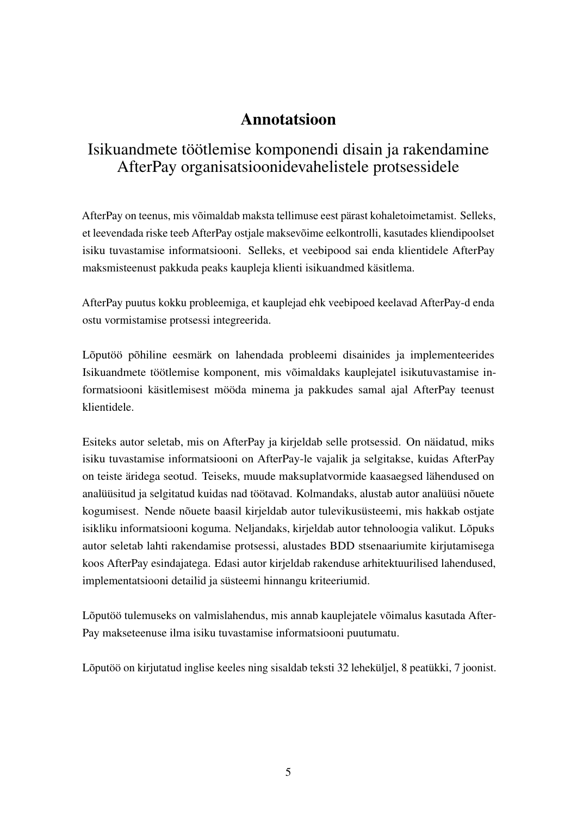# Annotatsioon

# Isikuandmete töötlemise komponendi disain ja rakendamine AfterPay organisatsioonidevahelistele protsessidele

AfterPay on teenus, mis võimaldab maksta tellimuse eest pärast kohaletoimetamist. Selleks, et leevendada riske teeb AfterPay ostjale maksevõime eelkontrolli, kasutades kliendipoolset isiku tuvastamise informatsiooni. Selleks, et veebipood sai enda klientidele AfterPay maksmisteenust pakkuda peaks kaupleja klienti isikuandmed käsitlema.

AfterPay puutus kokku probleemiga, et kauplejad ehk veebipoed keelavad AfterPay-d enda ostu vormistamise protsessi integreerida.

Lõputöö põhiline eesmärk on lahendada probleemi disainides ja implementeerides Isikuandmete töötlemise komponent, mis võimaldaks kauplejatel isikutuvastamise informatsiooni käsitlemisest mööda minema ja pakkudes samal ajal AfterPay teenust klientidele.

Esiteks autor seletab, mis on AfterPay ja kirjeldab selle protsessid. On näidatud, miks isiku tuvastamise informatsiooni on AfterPay-le vajalik ja selgitakse, kuidas AfterPay on teiste äridega seotud. Teiseks, muude maksuplatvormide kaasaegsed lähendused on analüüsitud ja selgitatud kuidas nad töötavad. Kolmandaks, alustab autor analüüsi nõuete kogumisest. Nende nõuete baasil kirjeldab autor tulevikusüsteemi, mis hakkab ostjate isikliku informatsiooni koguma. Neljandaks, kirjeldab autor tehnoloogia valikut. Lõpuks autor seletab lahti rakendamise protsessi, alustades BDD stsenaariumite kirjutamisega koos AfterPay esindajatega. Edasi autor kirjeldab rakenduse arhitektuurilised lahendused, implementatsiooni detailid ja süsteemi hinnangu kriteeriumid.

Lõputöö tulemuseks on valmislahendus, mis annab kauplejatele võimalus kasutada After-Pay makseteenuse ilma isiku tuvastamise informatsiooni puutumatu.

Lõputöö on kirjutatud inglise keeles ning sisaldab teksti 32 leheküljel, 8 peatükki, 7 joonist.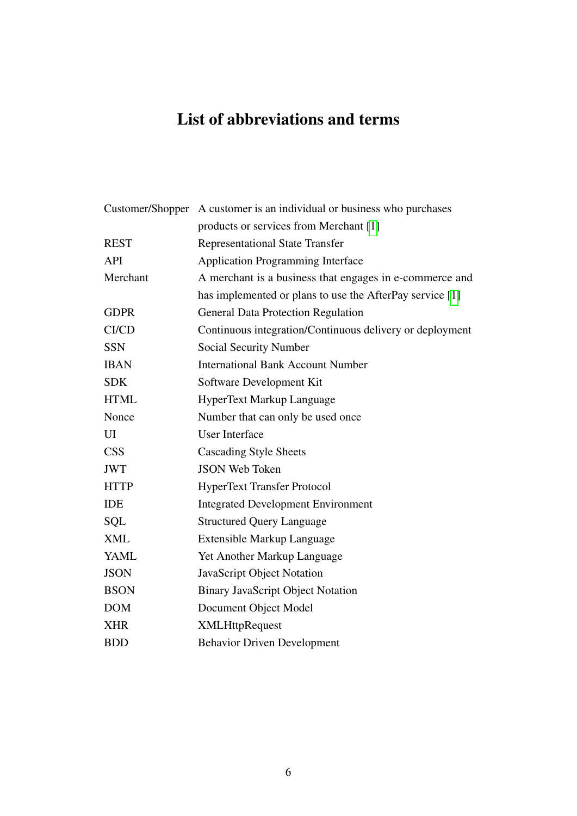# List of abbreviations and terms

|                         | Customer/Shopper A customer is an individual or business who purchases |
|-------------------------|------------------------------------------------------------------------|
|                         | products or services from Merchant [1]                                 |
| <b>REST</b>             | <b>Representational State Transfer</b>                                 |
| <b>API</b>              | <b>Application Programming Interface</b>                               |
| Merchant                | A merchant is a business that engages in e-commerce and                |
|                         | has implemented or plans to use the AfterPay service [1]               |
| <b>GDPR</b>             | <b>General Data Protection Regulation</b>                              |
| <b>CI/CD</b>            | Continuous integration/Continuous delivery or deployment               |
| <b>SSN</b>              | Social Security Number                                                 |
| <b>IBAN</b>             | <b>International Bank Account Number</b>                               |
| <b>SDK</b>              | Software Development Kit                                               |
| <b>HTML</b>             | <b>HyperText Markup Language</b>                                       |
| Nonce                   | Number that can only be used once                                      |
| UI                      | <b>User Interface</b>                                                  |
| $\overline{\text{CSS}}$ | <b>Cascading Style Sheets</b>                                          |
| <b>JWT</b>              | <b>JSON Web Token</b>                                                  |
| <b>HTTP</b>             | <b>HyperText Transfer Protocol</b>                                     |
| <b>IDE</b>              | <b>Integrated Development Environment</b>                              |
| <b>SQL</b>              | <b>Structured Query Language</b>                                       |
| <b>XML</b>              | <b>Extensible Markup Language</b>                                      |
| <b>YAML</b>             | Yet Another Markup Language                                            |
| <b>JSON</b>             | JavaScript Object Notation                                             |
| <b>BSON</b>             | <b>Binary JavaScript Object Notation</b>                               |
| <b>DOM</b>              | Document Object Model                                                  |
| <b>XHR</b>              | <b>XMLHttpRequest</b>                                                  |
| <b>BDD</b>              | <b>Behavior Driven Development</b>                                     |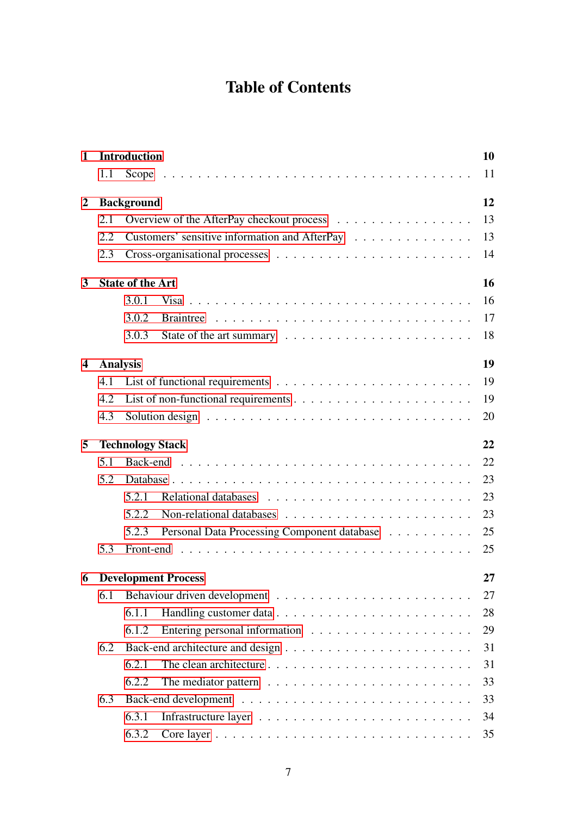# Table of Contents

| $\mathbf{1}$         |     | <b>Introduction</b>                                                                     | 10 |  |  |  |
|----------------------|-----|-----------------------------------------------------------------------------------------|----|--|--|--|
|                      | 1.1 |                                                                                         | 11 |  |  |  |
| 2                    |     | <b>Background</b>                                                                       | 12 |  |  |  |
|                      | 2.1 | Overview of the AfterPay checkout process                                               | 13 |  |  |  |
|                      | 2.2 | Customers' sensitive information and AfterPay                                           | 13 |  |  |  |
|                      | 2.3 |                                                                                         | 14 |  |  |  |
| 3                    |     | <b>State of the Art</b><br>16                                                           |    |  |  |  |
|                      |     | 3.0.1                                                                                   | 16 |  |  |  |
|                      |     | 3.0.2                                                                                   | 17 |  |  |  |
|                      |     | 3.0.3                                                                                   | 18 |  |  |  |
| <b>Analysis</b><br>4 |     |                                                                                         | 19 |  |  |  |
|                      | 4.1 | List of functional requirements $\ldots \ldots \ldots \ldots \ldots \ldots \ldots$      | 19 |  |  |  |
|                      | 4.2 | List of non-functional requirements $\dots \dots \dots \dots \dots \dots \dots \dots$   | 19 |  |  |  |
|                      | 4.3 | Solution design $\ldots \ldots \ldots \ldots \ldots \ldots \ldots \ldots \ldots \ldots$ | 20 |  |  |  |
| 5                    |     | <b>Technology Stack</b>                                                                 | 22 |  |  |  |
|                      | 5.1 |                                                                                         | 22 |  |  |  |
|                      | 5.2 |                                                                                         | 23 |  |  |  |
|                      |     | 5.2.1                                                                                   | 23 |  |  |  |
|                      |     | 5.2.2                                                                                   | 23 |  |  |  |
|                      |     | 5.2.3<br>Personal Data Processing Component database                                    | 25 |  |  |  |
|                      | 5.3 |                                                                                         | 25 |  |  |  |
| 6                    |     | <b>Development Process</b>                                                              | 27 |  |  |  |
|                      | 6.1 |                                                                                         | 27 |  |  |  |
|                      |     | 6.1.1                                                                                   | 28 |  |  |  |
|                      |     | 6.1.2                                                                                   | 29 |  |  |  |
|                      | 6.2 |                                                                                         | 31 |  |  |  |
|                      |     | 6.2.1                                                                                   | 31 |  |  |  |
|                      |     | 6.2.2<br>The mediator pattern $\dots \dots \dots \dots \dots \dots \dots \dots \dots$   | 33 |  |  |  |
|                      | 6.3 |                                                                                         | 33 |  |  |  |
|                      |     | 6.3.1                                                                                   | 34 |  |  |  |
|                      |     | 6.3.2                                                                                   | 35 |  |  |  |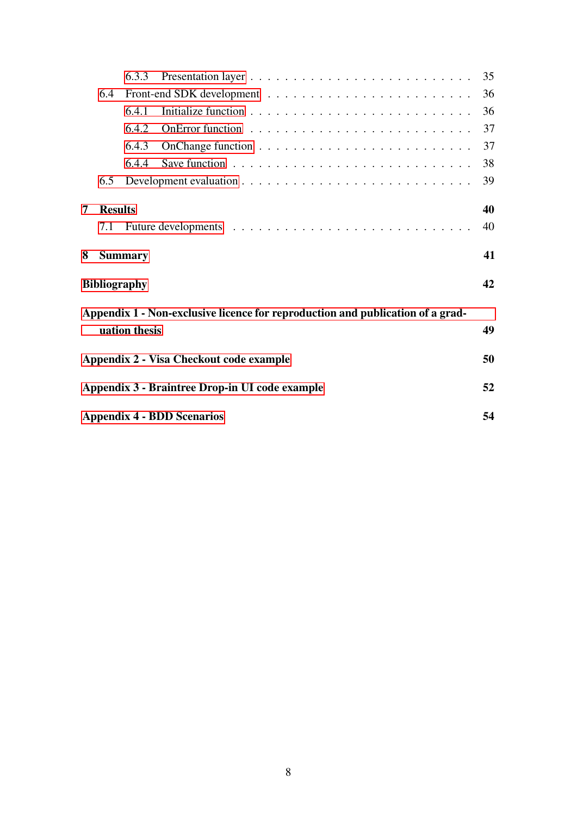|                           |                                                | 6.3.3          |                                                                                         | 35 |  |  |  |  |
|---------------------------|------------------------------------------------|----------------|-----------------------------------------------------------------------------------------|----|--|--|--|--|
|                           | 6.4                                            | 36             |                                                                                         |    |  |  |  |  |
|                           |                                                | 6.4.1          |                                                                                         | 36 |  |  |  |  |
|                           |                                                | 6.4.2          |                                                                                         | 37 |  |  |  |  |
|                           |                                                | 6.4.3          |                                                                                         | 37 |  |  |  |  |
|                           |                                                | 6.4.4          | Save function $\ldots \ldots \ldots \ldots \ldots \ldots \ldots \ldots \ldots \ldots$   | 38 |  |  |  |  |
|                           | 6.5                                            |                | Development evaluation $\ldots \ldots \ldots \ldots \ldots \ldots \ldots \ldots \ldots$ | 39 |  |  |  |  |
| 7                         | <b>Results</b>                                 |                |                                                                                         | 40 |  |  |  |  |
|                           | 7.1                                            |                |                                                                                         | 40 |  |  |  |  |
| 8                         |                                                | <b>Summary</b> |                                                                                         | 41 |  |  |  |  |
| 42<br><b>Bibliography</b> |                                                |                |                                                                                         |    |  |  |  |  |
|                           |                                                |                |                                                                                         |    |  |  |  |  |
|                           |                                                | uation thesis  | Appendix 1 - Non-exclusive licence for reproduction and publication of a grad-          | 49 |  |  |  |  |
|                           |                                                |                |                                                                                         |    |  |  |  |  |
|                           | Appendix 2 - Visa Checkout code example<br>50  |                |                                                                                         |    |  |  |  |  |
|                           | Appendix 3 - Braintree Drop-in UI code example |                |                                                                                         |    |  |  |  |  |
|                           | <b>Appendix 4 - BDD Scenarios</b><br>54        |                |                                                                                         |    |  |  |  |  |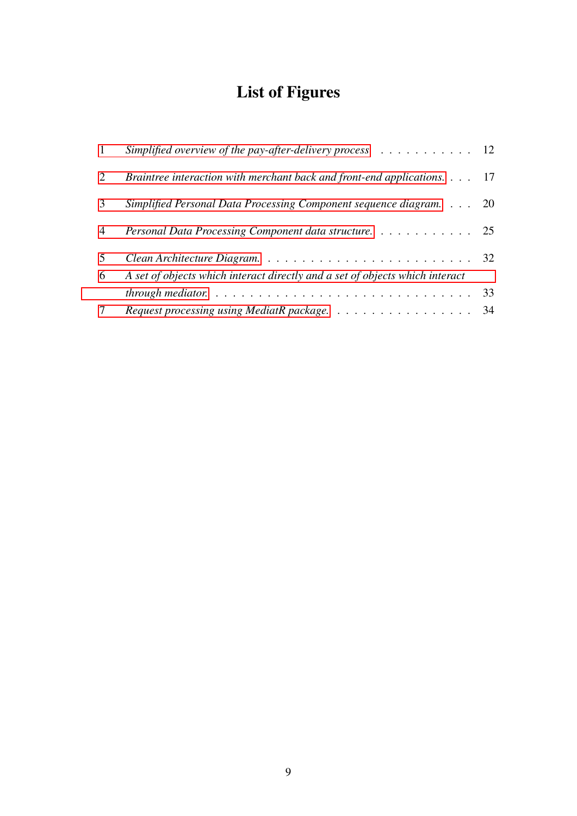# List of Figures

| $\mathbf{1}$   | Simplified overview of the pay-after-delivery process $\ldots \ldots \ldots \ldots$ |    |
|----------------|-------------------------------------------------------------------------------------|----|
| $\overline{2}$ | Braintree interaction with merchant back and front-end applications. 17             |    |
| 3              | Simplified Personal Data Processing Component sequence diagram. 20                  |    |
| $\overline{4}$ | Personal Data Processing Component data structure. 25                               |    |
| 5<br>6         | A set of objects which interact directly and a set of objects which interact        |    |
|                |                                                                                     | 33 |
| $\tau$         | Request processing using MediatR package.                                           | 34 |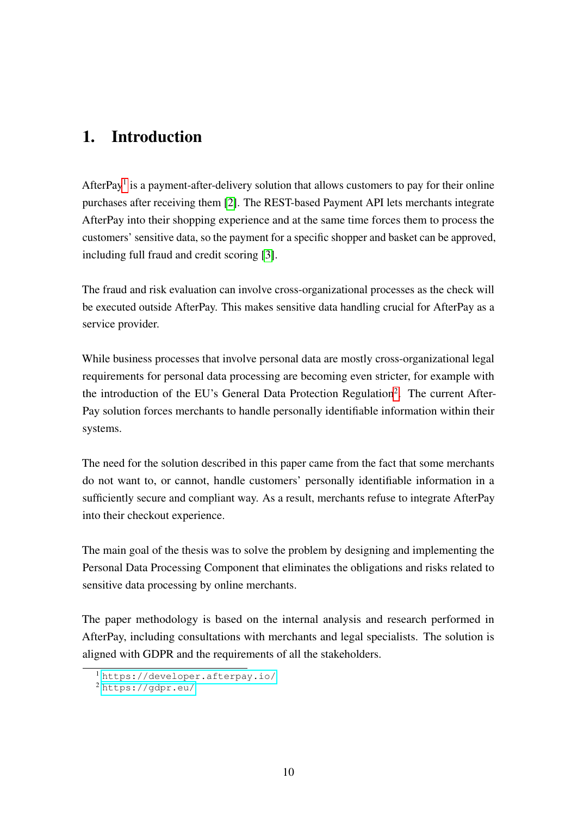# <span id="page-9-0"></span>1. Introduction

AfterPay<sup>[1](#page-9-1)</sup> is a payment-after-delivery solution that allows customers to pay for their online purchases after receiving them [\[2\]](#page-41-2). The REST-based Payment API lets merchants integrate AfterPay into their shopping experience and at the same time forces them to process the customers' sensitive data, so the payment for a specific shopper and basket can be approved, including full fraud and credit scoring [\[3\]](#page-41-3).

The fraud and risk evaluation can involve cross-organizational processes as the check will be executed outside AfterPay. This makes sensitive data handling crucial for AfterPay as a service provider.

While business processes that involve personal data are mostly cross-organizational legal requirements for personal data processing are becoming even stricter, for example with the introduction of the EU's General Data Protection Regulation<sup>[2](#page-9-2)</sup>. The current After-Pay solution forces merchants to handle personally identifiable information within their systems.

The need for the solution described in this paper came from the fact that some merchants do not want to, or cannot, handle customers' personally identifiable information in a sufficiently secure and compliant way. As a result, merchants refuse to integrate AfterPay into their checkout experience.

The main goal of the thesis was to solve the problem by designing and implementing the Personal Data Processing Component that eliminates the obligations and risks related to sensitive data processing by online merchants.

The paper methodology is based on the internal analysis and research performed in AfterPay, including consultations with merchants and legal specialists. The solution is aligned with GDPR and the requirements of all the stakeholders.

<span id="page-9-1"></span><sup>1</sup> <https://developer.afterpay.io/>

<span id="page-9-2"></span><sup>2</sup> <https://gdpr.eu/>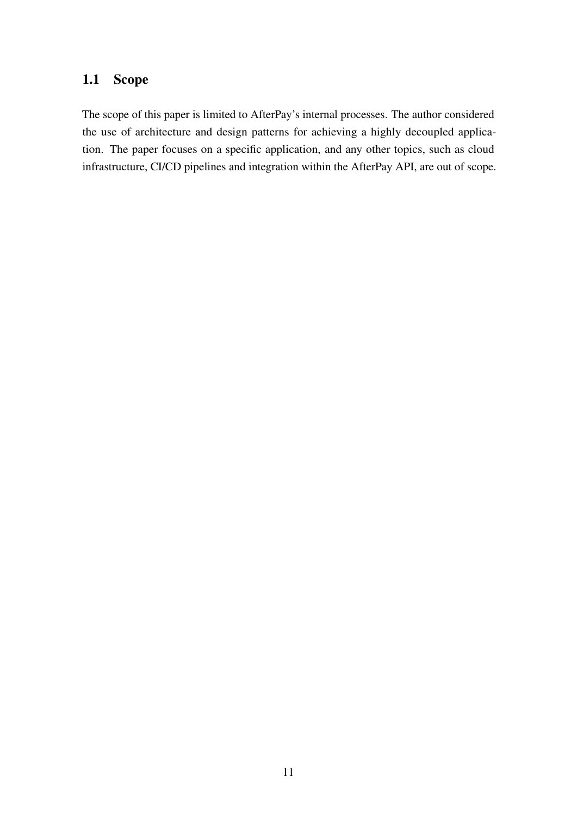# <span id="page-10-0"></span>1.1 Scope

The scope of this paper is limited to AfterPay's internal processes. The author considered the use of architecture and design patterns for achieving a highly decoupled application. The paper focuses on a specific application, and any other topics, such as cloud infrastructure, CI/CD pipelines and integration within the AfterPay API, are out of scope.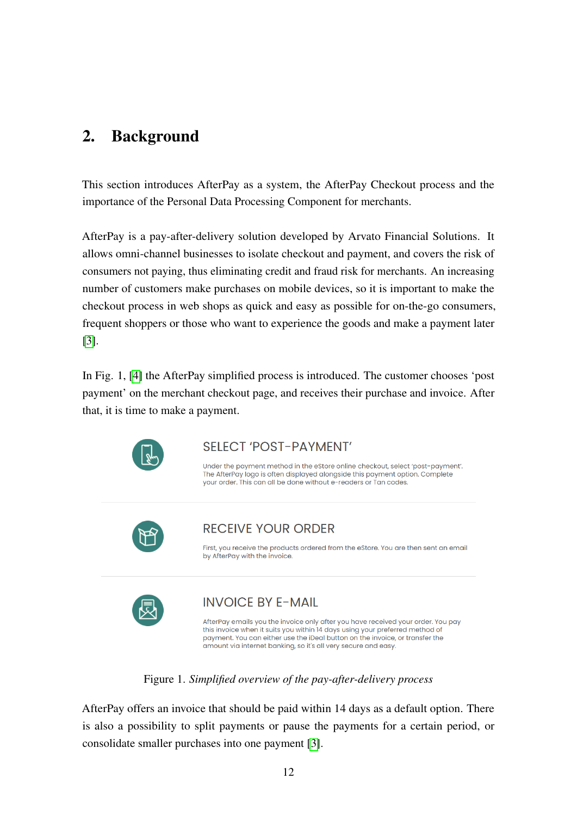# <span id="page-11-0"></span>2. Background

This section introduces AfterPay as a system, the AfterPay Checkout process and the importance of the Personal Data Processing Component for merchants.

AfterPay is a pay-after-delivery solution developed by Arvato Financial Solutions. It allows omni-channel businesses to isolate checkout and payment, and covers the risk of consumers not paying, thus eliminating credit and fraud risk for merchants. An increasing number of customers make purchases on mobile devices, so it is important to make the checkout process in web shops as quick and easy as possible for on-the-go consumers, frequent shoppers or those who want to experience the goods and make a payment later [\[3\]](#page-41-3).

<span id="page-11-1"></span>In Fig. 1, [\[4\]](#page-41-4) the AfterPay simplified process is introduced. The customer chooses 'post payment' on the merchant checkout page, and receives their purchase and invoice. After that, it is time to make a payment.



## **SELECT 'POST-PAYMENT'**

Under the payment method in the eStore online checkout, select 'post-payment'. The AfterPay logo is often displayed alongside this payment option. Complete your order. This can all be done without e-readers or Tan codes.



## RECEIVE YOUR ORDER

First, you receive the products ordered from the eStore. You are then sent an email by AfterPay with the invoice.



## **INVOICE BY E-MAIL**

AfterPay emails you the invoice only after you have received your order. You pay this invoice when it suits you within 14 days using your preferred method of payment. You can either use the iDeal button on the invoice, or transfer the amount via internet banking, so it's all very secure and easy.

### Figure 1. *Simplified overview of the pay-after-delivery process*

AfterPay offers an invoice that should be paid within 14 days as a default option. There is also a possibility to split payments or pause the payments for a certain period, or consolidate smaller purchases into one payment [\[3\]](#page-41-3).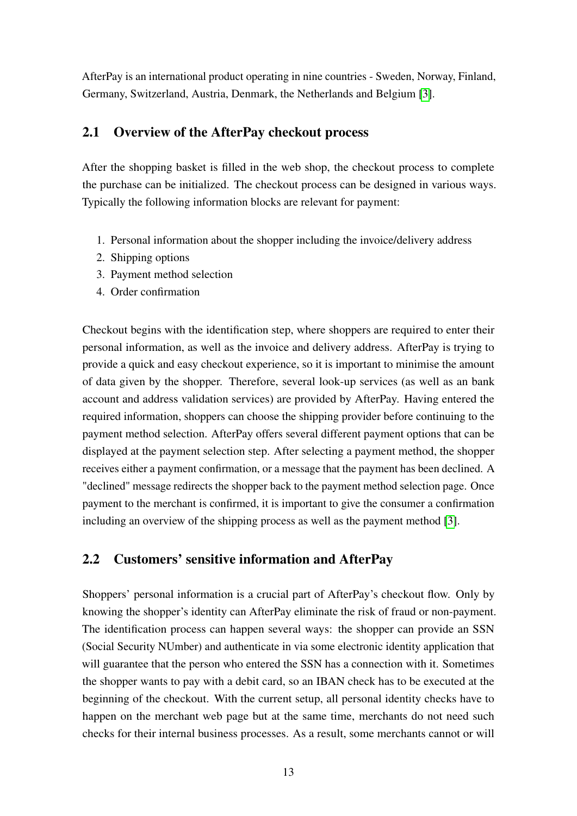AfterPay is an international product operating in nine countries - Sweden, Norway, Finland, Germany, Switzerland, Austria, Denmark, the Netherlands and Belgium [\[3\]](#page-41-3).

## <span id="page-12-0"></span>2.1 Overview of the AfterPay checkout process

After the shopping basket is filled in the web shop, the checkout process to complete the purchase can be initialized. The checkout process can be designed in various ways. Typically the following information blocks are relevant for payment:

- 1. Personal information about the shopper including the invoice/delivery address
- 2. Shipping options
- 3. Payment method selection
- 4. Order confirmation

Checkout begins with the identification step, where shoppers are required to enter their personal information, as well as the invoice and delivery address. AfterPay is trying to provide a quick and easy checkout experience, so it is important to minimise the amount of data given by the shopper. Therefore, several look-up services (as well as an bank account and address validation services) are provided by AfterPay. Having entered the required information, shoppers can choose the shipping provider before continuing to the payment method selection. AfterPay offers several different payment options that can be displayed at the payment selection step. After selecting a payment method, the shopper receives either a payment confirmation, or a message that the payment has been declined. A "declined" message redirects the shopper back to the payment method selection page. Once payment to the merchant is confirmed, it is important to give the consumer a confirmation including an overview of the shipping process as well as the payment method [\[3\]](#page-41-3).

# <span id="page-12-1"></span>2.2 Customers' sensitive information and AfterPay

Shoppers' personal information is a crucial part of AfterPay's checkout flow. Only by knowing the shopper's identity can AfterPay eliminate the risk of fraud or non-payment. The identification process can happen several ways: the shopper can provide an SSN (Social Security NUmber) and authenticate in via some electronic identity application that will guarantee that the person who entered the SSN has a connection with it. Sometimes the shopper wants to pay with a debit card, so an IBAN check has to be executed at the beginning of the checkout. With the current setup, all personal identity checks have to happen on the merchant web page but at the same time, merchants do not need such checks for their internal business processes. As a result, some merchants cannot or will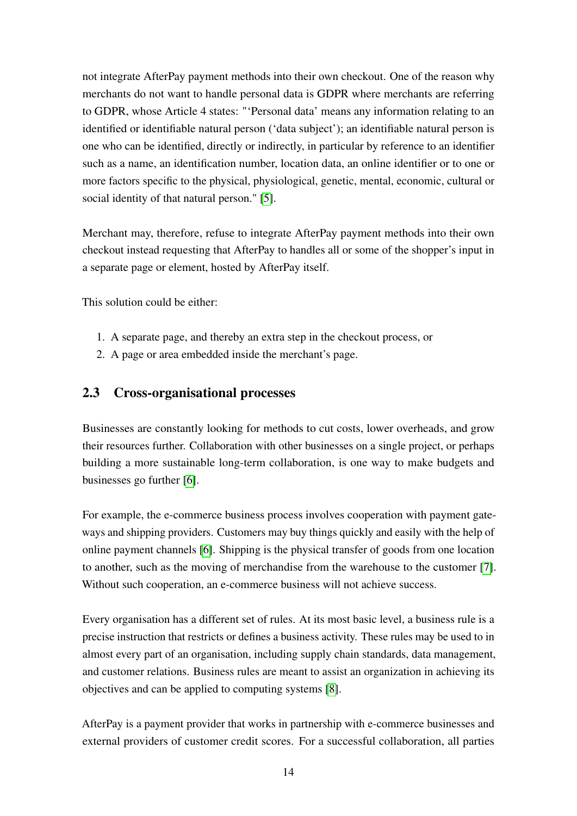not integrate AfterPay payment methods into their own checkout. One of the reason why merchants do not want to handle personal data is GDPR where merchants are referring to GDPR, whose Article 4 states: "'Personal data' means any information relating to an identified or identifiable natural person ('data subject'); an identifiable natural person is one who can be identified, directly or indirectly, in particular by reference to an identifier such as a name, an identification number, location data, an online identifier or to one or more factors specific to the physical, physiological, genetic, mental, economic, cultural or social identity of that natural person." [\[5\]](#page-41-5).

Merchant may, therefore, refuse to integrate AfterPay payment methods into their own checkout instead requesting that AfterPay to handles all or some of the shopper's input in a separate page or element, hosted by AfterPay itself.

This solution could be either:

- 1. A separate page, and thereby an extra step in the checkout process, or
- <span id="page-13-0"></span>2. A page or area embedded inside the merchant's page.

## 2.3 Cross-organisational processes

Businesses are constantly looking for methods to cut costs, lower overheads, and grow their resources further. Collaboration with other businesses on a single project, or perhaps building a more sustainable long-term collaboration, is one way to make budgets and businesses go further [\[6\]](#page-41-6).

For example, the e-commerce business process involves cooperation with payment gateways and shipping providers. Customers may buy things quickly and easily with the help of online payment channels [\[6\]](#page-41-6). Shipping is the physical transfer of goods from one location to another, such as the moving of merchandise from the warehouse to the customer [\[7\]](#page-41-7). Without such cooperation, an e-commerce business will not achieve success.

Every organisation has a different set of rules. At its most basic level, a business rule is a precise instruction that restricts or defines a business activity. These rules may be used to in almost every part of an organisation, including supply chain standards, data management, and customer relations. Business rules are meant to assist an organization in achieving its objectives and can be applied to computing systems [\[8\]](#page-41-8).

AfterPay is a payment provider that works in partnership with e-commerce businesses and external providers of customer credit scores. For a successful collaboration, all parties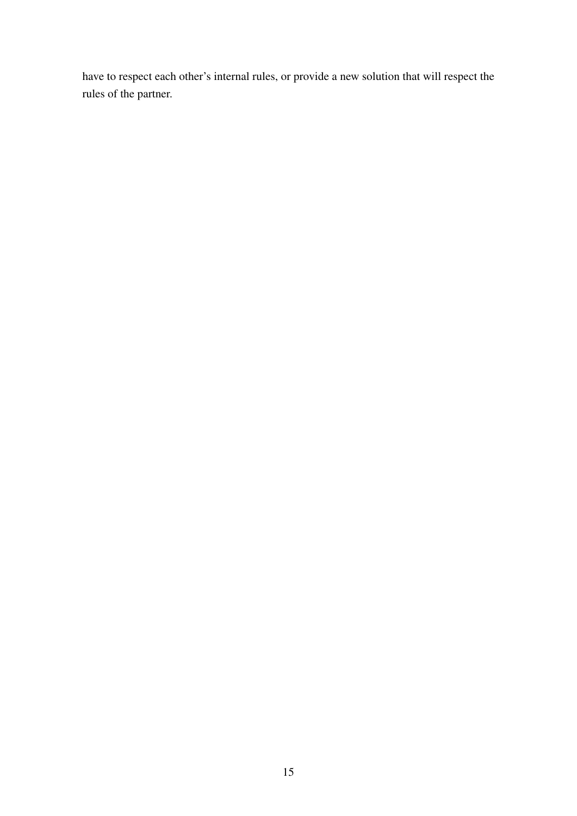have to respect each other's internal rules, or provide a new solution that will respect the rules of the partner.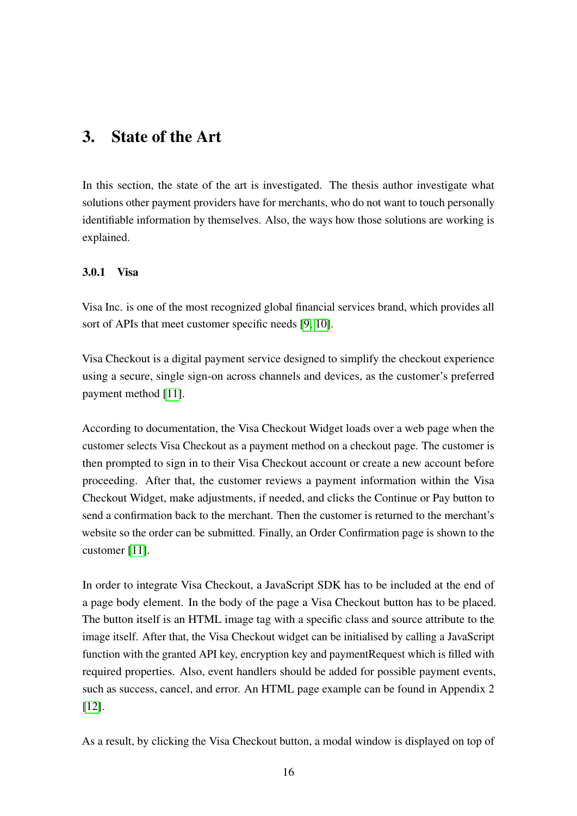# <span id="page-15-0"></span>3. State of the Art

In this section, the state of the art is investigated. The thesis author investigate what solutions other payment providers have for merchants, who do not want to touch personally identifiable information by themselves. Also, the ways how those solutions are working is explained.

#### <span id="page-15-1"></span>3.0.1 Visa

Visa Inc. is one of the most recognized global financial services brand, which provides all sort of APIs that meet customer specific needs [\[9,](#page-41-9) [10\]](#page-41-10).

Visa Checkout is a digital payment service designed to simplify the checkout experience using a secure, single sign-on across channels and devices, as the customer's preferred payment method [\[11\]](#page-41-11).

According to documentation, the Visa Checkout Widget loads over a web page when the customer selects Visa Checkout as a payment method on a checkout page. The customer is then prompted to sign in to their Visa Checkout account or create a new account before proceeding. After that, the customer reviews a payment information within the Visa Checkout Widget, make adjustments, if needed, and clicks the Continue or Pay button to send a confirmation back to the merchant. Then the customer is returned to the merchant's website so the order can be submitted. Finally, an Order Confirmation page is shown to the customer [\[11\]](#page-41-11).

In order to integrate Visa Checkout, a JavaScript SDK has to be included at the end of a page body element. In the body of the page a Visa Checkout button has to be placed. The button itself is an HTML image tag with a specific class and source attribute to the image itself. After that, the Visa Checkout widget can be initialised by calling a JavaScript function with the granted API key, encryption key and paymentRequest which is filled with required properties. Also, event handlers should be added for possible payment events, such as success, cancel, and error. An HTML page example can be found in Appendix 2 [\[12\]](#page-42-0).

As a result, by clicking the Visa Checkout button, a modal window is displayed on top of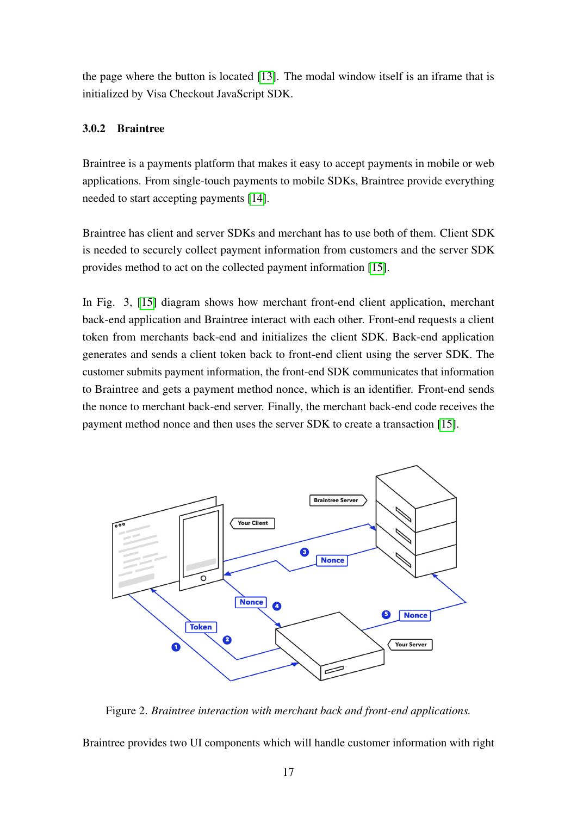the page where the button is located [\[13\]](#page-42-1). The modal window itself is an iframe that is initialized by Visa Checkout JavaScript SDK.

#### <span id="page-16-0"></span>3.0.2 Braintree

Braintree is a payments platform that makes it easy to accept payments in mobile or web applications. From single-touch payments to mobile SDKs, Braintree provide everything needed to start accepting payments [\[14\]](#page-42-2).

Braintree has client and server SDKs and merchant has to use both of them. Client SDK is needed to securely collect payment information from customers and the server SDK provides method to act on the collected payment information [\[15\]](#page-42-3).

In Fig. 3, [\[15\]](#page-42-3) diagram shows how merchant front-end client application, merchant back-end application and Braintree interact with each other. Front-end requests a client token from merchants back-end and initializes the client SDK. Back-end application generates and sends a client token back to front-end client using the server SDK. The customer submits payment information, the front-end SDK communicates that information to Braintree and gets a payment method nonce, which is an identifier. Front-end sends the nonce to merchant back-end server. Finally, the merchant back-end code receives the payment method nonce and then uses the server SDK to create a transaction [\[15\]](#page-42-3).

<span id="page-16-1"></span>

Figure 2. *Braintree interaction with merchant back and front-end applications.*

Braintree provides two UI components which will handle customer information with right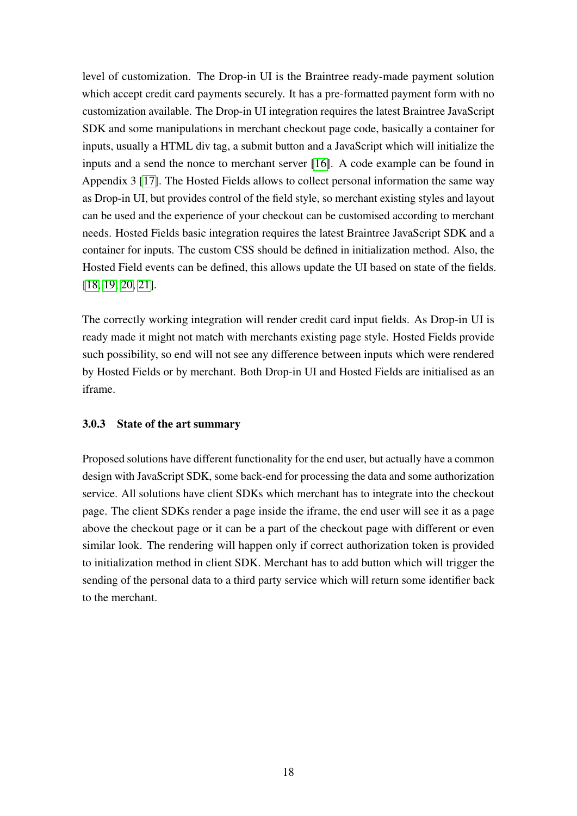level of customization. The Drop-in UI is the Braintree ready-made payment solution which accept credit card payments securely. It has a pre-formatted payment form with no customization available. The Drop-in UI integration requires the latest Braintree JavaScript SDK and some manipulations in merchant checkout page code, basically a container for inputs, usually a HTML div tag, a submit button and a JavaScript which will initialize the inputs and a send the nonce to merchant server [\[16\]](#page-42-4). A code example can be found in Appendix 3 [\[17\]](#page-42-5). The Hosted Fields allows to collect personal information the same way as Drop-in UI, but provides control of the field style, so merchant existing styles and layout can be used and the experience of your checkout can be customised according to merchant needs. Hosted Fields basic integration requires the latest Braintree JavaScript SDK and a container for inputs. The custom CSS should be defined in initialization method. Also, the Hosted Field events can be defined, this allows update the UI based on state of the fields. [\[18,](#page-42-6) [19,](#page-42-7) [20,](#page-42-8) [21\]](#page-42-9).

The correctly working integration will render credit card input fields. As Drop-in UI is ready made it might not match with merchants existing page style. Hosted Fields provide such possibility, so end will not see any difference between inputs which were rendered by Hosted Fields or by merchant. Both Drop-in UI and Hosted Fields are initialised as an iframe.

#### <span id="page-17-0"></span>3.0.3 State of the art summary

Proposed solutions have different functionality for the end user, but actually have a common design with JavaScript SDK, some back-end for processing the data and some authorization service. All solutions have client SDKs which merchant has to integrate into the checkout page. The client SDKs render a page inside the iframe, the end user will see it as a page above the checkout page or it can be a part of the checkout page with different or even similar look. The rendering will happen only if correct authorization token is provided to initialization method in client SDK. Merchant has to add button which will trigger the sending of the personal data to a third party service which will return some identifier back to the merchant.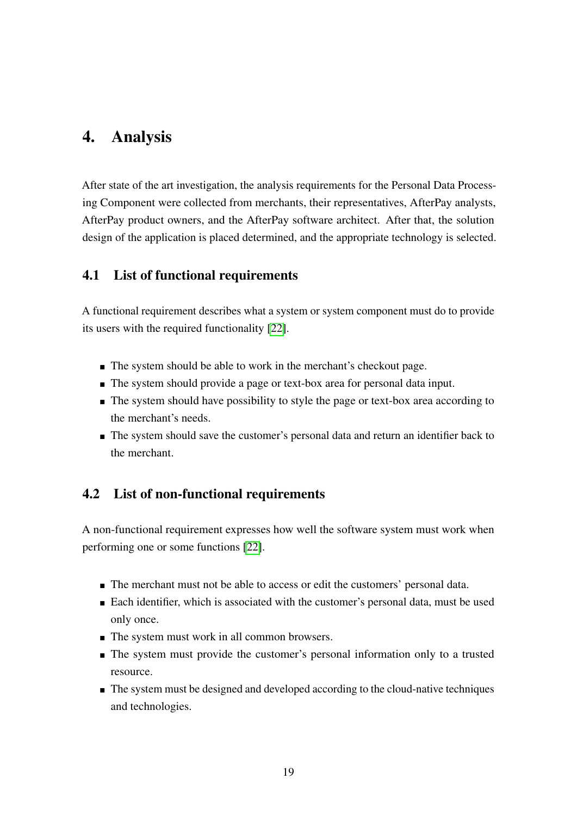# <span id="page-18-0"></span>4. Analysis

After state of the art investigation, the analysis requirements for the Personal Data Processing Component were collected from merchants, their representatives, AfterPay analysts, AfterPay product owners, and the AfterPay software architect. After that, the solution design of the application is placed determined, and the appropriate technology is selected.

## <span id="page-18-1"></span>4.1 List of functional requirements

A functional requirement describes what a system or system component must do to provide its users with the required functionality [\[22\]](#page-42-10).

- The system should be able to work in the merchant's checkout page.
- The system should provide a page or text-box area for personal data input.
- The system should have possibility to style the page or text-box area according to the merchant's needs.
- The system should save the customer's personal data and return an identifier back to the merchant.

# <span id="page-18-2"></span>4.2 List of non-functional requirements

A non-functional requirement expresses how well the software system must work when performing one or some functions [\[22\]](#page-42-10).

- The merchant must not be able to access or edit the customers' personal data.
- Each identifier, which is associated with the customer's personal data, must be used only once.
- $\blacksquare$  The system must work in all common browsers.
- The system must provide the customer's personal information only to a trusted resource.
- The system must be designed and developed according to the cloud-native techniques and technologies.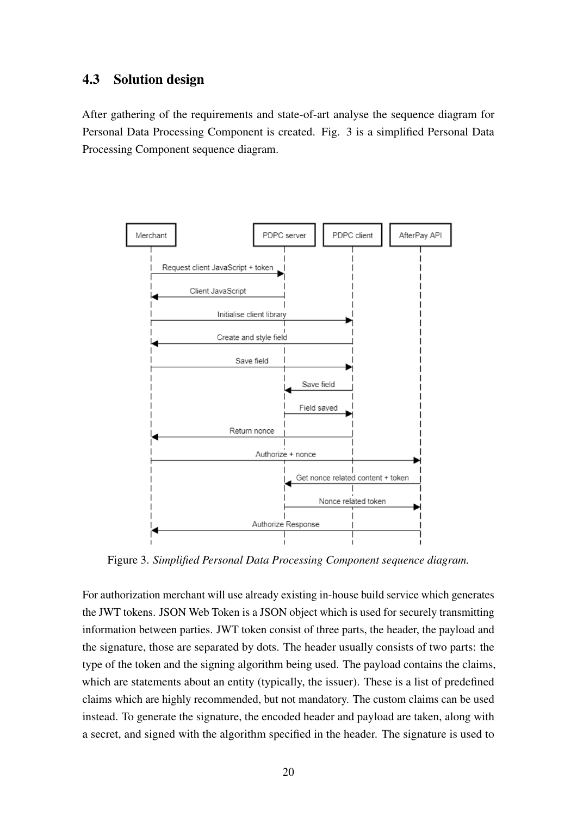## <span id="page-19-0"></span>4.3 Solution design

After gathering of the requirements and state-of-art analyse the sequence diagram for Personal Data Processing Component is created. Fig. 3 is a simplified Personal Data Processing Component sequence diagram.

<span id="page-19-1"></span>

Figure 3. *Simplified Personal Data Processing Component sequence diagram.*

For authorization merchant will use already existing in-house build service which generates the JWT tokens. JSON Web Token is a JSON object which is used for securely transmitting information between parties. JWT token consist of three parts, the header, the payload and the signature, those are separated by dots. The header usually consists of two parts: the type of the token and the signing algorithm being used. The payload contains the claims, which are statements about an entity (typically, the issuer). These is a list of predefined claims which are highly recommended, but not mandatory. The custom claims can be used instead. To generate the signature, the encoded header and payload are taken, along with a secret, and signed with the algorithm specified in the header. The signature is used to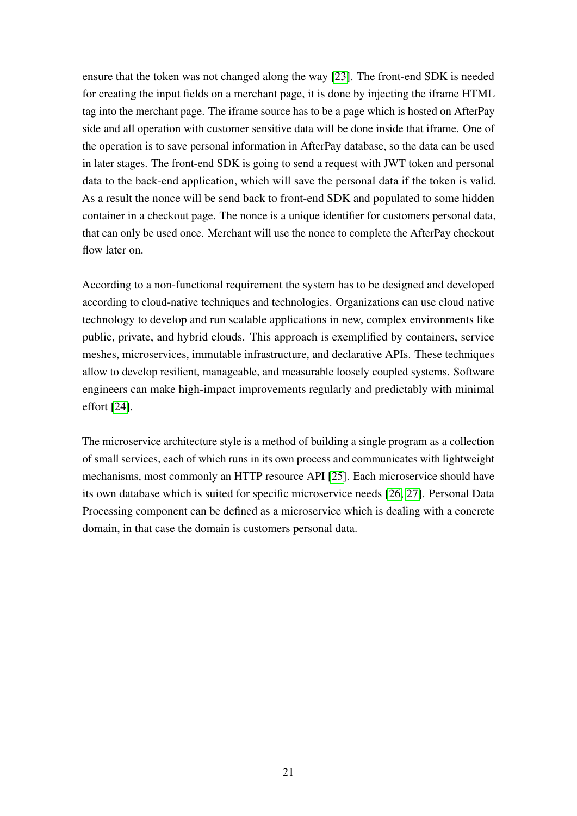ensure that the token was not changed along the way [\[23\]](#page-43-0). The front-end SDK is needed for creating the input fields on a merchant page, it is done by injecting the iframe HTML tag into the merchant page. The iframe source has to be a page which is hosted on AfterPay side and all operation with customer sensitive data will be done inside that iframe. One of the operation is to save personal information in AfterPay database, so the data can be used in later stages. The front-end SDK is going to send a request with JWT token and personal data to the back-end application, which will save the personal data if the token is valid. As a result the nonce will be send back to front-end SDK and populated to some hidden container in a checkout page. The nonce is a unique identifier for customers personal data, that can only be used once. Merchant will use the nonce to complete the AfterPay checkout flow later on.

According to a non-functional requirement the system has to be designed and developed according to cloud-native techniques and technologies. Organizations can use cloud native technology to develop and run scalable applications in new, complex environments like public, private, and hybrid clouds. This approach is exemplified by containers, service meshes, microservices, immutable infrastructure, and declarative APIs. These techniques allow to develop resilient, manageable, and measurable loosely coupled systems. Software engineers can make high-impact improvements regularly and predictably with minimal effort [\[24\]](#page-43-1).

The microservice architecture style is a method of building a single program as a collection of small services, each of which runs in its own process and communicates with lightweight mechanisms, most commonly an HTTP resource API [\[25\]](#page-43-2). Each microservice should have its own database which is suited for specific microservice needs [\[26,](#page-43-3) [27\]](#page-43-4). Personal Data Processing component can be defined as a microservice which is dealing with a concrete domain, in that case the domain is customers personal data.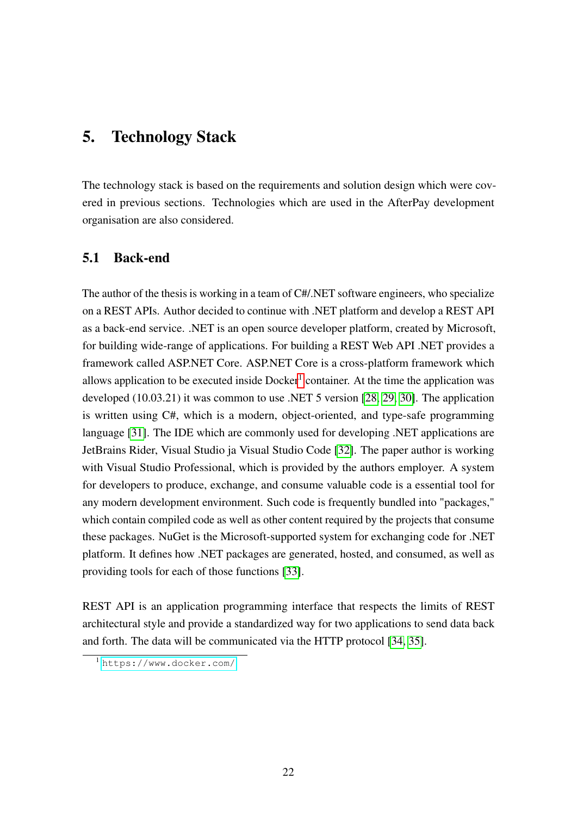# <span id="page-21-0"></span>5. Technology Stack

The technology stack is based on the requirements and solution design which were covered in previous sections. Technologies which are used in the AfterPay development organisation are also considered.

## <span id="page-21-1"></span>5.1 Back-end

The author of the thesis is working in a team of C#/.NET software engineers, who specialize on a REST APIs. Author decided to continue with .NET platform and develop a REST API as a back-end service. .NET is an open source developer platform, created by Microsoft, for building wide-range of applications. For building a REST Web API .NET provides a framework called ASP.NET Core. ASP.NET Core is a cross-platform framework which allows application to be executed inside  $Doker<sup>1</sup>$  $Doker<sup>1</sup>$  $Doker<sup>1</sup>$  container. At the time the application was developed (10.03.21) it was common to use .NET 5 version [\[28,](#page-43-5) [29,](#page-43-6) [30\]](#page-43-7). The application is written using C#, which is a modern, object-oriented, and type-safe programming language [\[31\]](#page-43-8). The IDE which are commonly used for developing .NET applications are JetBrains Rider, Visual Studio ja Visual Studio Code [\[32\]](#page-43-9). The paper author is working with Visual Studio Professional, which is provided by the authors employer. A system for developers to produce, exchange, and consume valuable code is a essential tool for any modern development environment. Such code is frequently bundled into "packages," which contain compiled code as well as other content required by the projects that consume these packages. NuGet is the Microsoft-supported system for exchanging code for .NET platform. It defines how .NET packages are generated, hosted, and consumed, as well as providing tools for each of those functions [\[33\]](#page-43-10).

REST API is an application programming interface that respects the limits of REST architectural style and provide a standardized way for two applications to send data back and forth. The data will be communicated via the HTTP protocol [\[34,](#page-43-11) [35\]](#page-43-12).

<span id="page-21-2"></span><sup>1</sup> <https://www.docker.com/>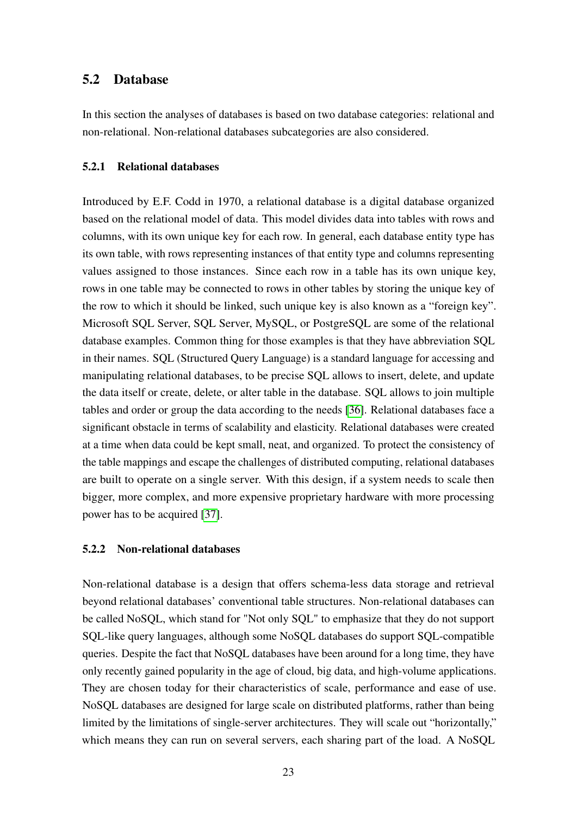#### <span id="page-22-0"></span>5.2 Database

In this section the analyses of databases is based on two database categories: relational and non-relational. Non-relational databases subcategories are also considered.

#### <span id="page-22-1"></span>5.2.1 Relational databases

Introduced by E.F. Codd in 1970, a relational database is a digital database organized based on the relational model of data. This model divides data into tables with rows and columns, with its own unique key for each row. In general, each database entity type has its own table, with rows representing instances of that entity type and columns representing values assigned to those instances. Since each row in a table has its own unique key, rows in one table may be connected to rows in other tables by storing the unique key of the row to which it should be linked, such unique key is also known as a "foreign key". Microsoft SQL Server, SQL Server, MySQL, or PostgreSQL are some of the relational database examples. Common thing for those examples is that they have abbreviation SQL in their names. SQL (Structured Query Language) is a standard language for accessing and manipulating relational databases, to be precise SQL allows to insert, delete, and update the data itself or create, delete, or alter table in the database. SQL allows to join multiple tables and order or group the data according to the needs [\[36\]](#page-44-0). Relational databases face a significant obstacle in terms of scalability and elasticity. Relational databases were created at a time when data could be kept small, neat, and organized. To protect the consistency of the table mappings and escape the challenges of distributed computing, relational databases are built to operate on a single server. With this design, if a system needs to scale then bigger, more complex, and more expensive proprietary hardware with more processing power has to be acquired [\[37\]](#page-44-1).

#### <span id="page-22-2"></span>5.2.2 Non-relational databases

Non-relational database is a design that offers schema-less data storage and retrieval beyond relational databases' conventional table structures. Non-relational databases can be called NoSQL, which stand for "Not only SQL" to emphasize that they do not support SQL-like query languages, although some NoSQL databases do support SQL-compatible queries. Despite the fact that NoSQL databases have been around for a long time, they have only recently gained popularity in the age of cloud, big data, and high-volume applications. They are chosen today for their characteristics of scale, performance and ease of use. NoSQL databases are designed for large scale on distributed platforms, rather than being limited by the limitations of single-server architectures. They will scale out "horizontally," which means they can run on several servers, each sharing part of the load. A NoSQL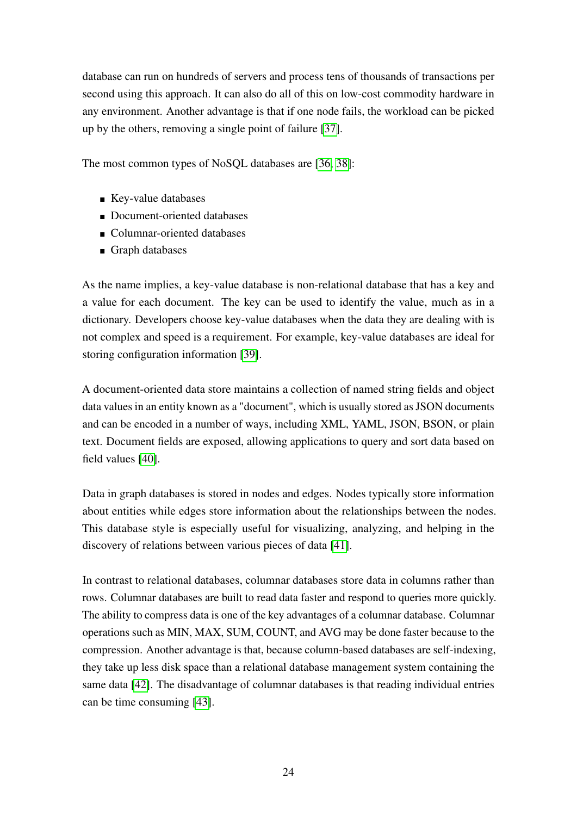database can run on hundreds of servers and process tens of thousands of transactions per second using this approach. It can also do all of this on low-cost commodity hardware in any environment. Another advantage is that if one node fails, the workload can be picked up by the others, removing a single point of failure [\[37\]](#page-44-1).

The most common types of NoSQL databases are [\[36,](#page-44-0) [38\]](#page-44-2):

- Key-value databases
- Document-oriented databases
- Columnar-oriented databases
- Graph databases

As the name implies, a key-value database is non-relational database that has a key and a value for each document. The key can be used to identify the value, much as in a dictionary. Developers choose key-value databases when the data they are dealing with is not complex and speed is a requirement. For example, key-value databases are ideal for storing configuration information [\[39\]](#page-44-3).

A document-oriented data store maintains a collection of named string fields and object data values in an entity known as a "document", which is usually stored as JSON documents and can be encoded in a number of ways, including XML, YAML, JSON, BSON, or plain text. Document fields are exposed, allowing applications to query and sort data based on field values [\[40\]](#page-44-4).

Data in graph databases is stored in nodes and edges. Nodes typically store information about entities while edges store information about the relationships between the nodes. This database style is especially useful for visualizing, analyzing, and helping in the discovery of relations between various pieces of data [\[41\]](#page-44-5).

In contrast to relational databases, columnar databases store data in columns rather than rows. Columnar databases are built to read data faster and respond to queries more quickly. The ability to compress data is one of the key advantages of a columnar database. Columnar operations such as MIN, MAX, SUM, COUNT, and AVG may be done faster because to the compression. Another advantage is that, because column-based databases are self-indexing, they take up less disk space than a relational database management system containing the same data [\[42\]](#page-44-6). The disadvantage of columnar databases is that reading individual entries can be time consuming [\[43\]](#page-44-7).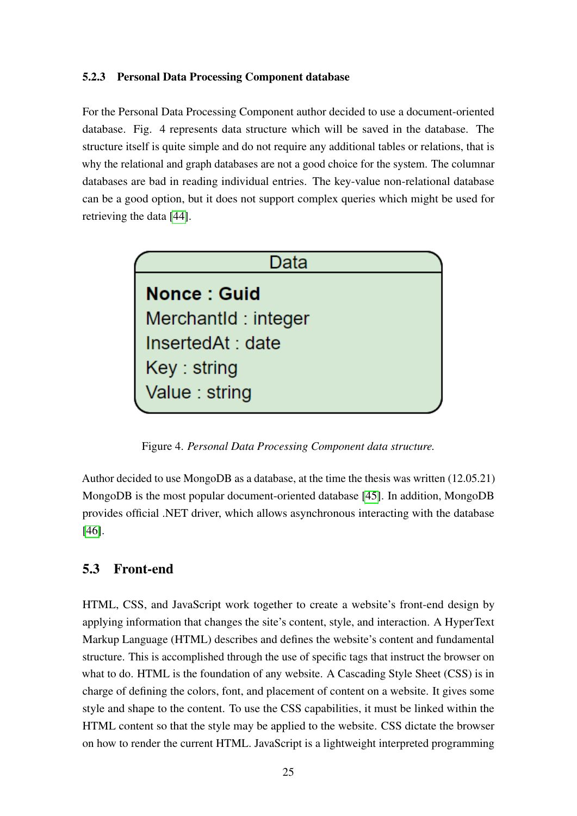#### <span id="page-24-0"></span>5.2.3 Personal Data Processing Component database

For the Personal Data Processing Component author decided to use a document-oriented database. Fig. 4 represents data structure which will be saved in the database. The structure itself is quite simple and do not require any additional tables or relations, that is why the relational and graph databases are not a good choice for the system. The columnar databases are bad in reading individual entries. The key-value non-relational database can be a good option, but it does not support complex queries which might be used for retrieving the data [\[44\]](#page-44-8).

<span id="page-24-2"></span>

Figure 4. *Personal Data Processing Component data structure.*

Author decided to use MongoDB as a database, at the time the thesis was written (12.05.21) MongoDB is the most popular document-oriented database [\[45\]](#page-44-9). In addition, MongoDB provides official .NET driver, which allows asynchronous interacting with the database [\[46\]](#page-44-10).

## <span id="page-24-1"></span>5.3 Front-end

HTML, CSS, and JavaScript work together to create a website's front-end design by applying information that changes the site's content, style, and interaction. A HyperText Markup Language (HTML) describes and defines the website's content and fundamental structure. This is accomplished through the use of specific tags that instruct the browser on what to do. HTML is the foundation of any website. A Cascading Style Sheet (CSS) is in charge of defining the colors, font, and placement of content on a website. It gives some style and shape to the content. To use the CSS capabilities, it must be linked within the HTML content so that the style may be applied to the website. CSS dictate the browser on how to render the current HTML. JavaScript is a lightweight interpreted programming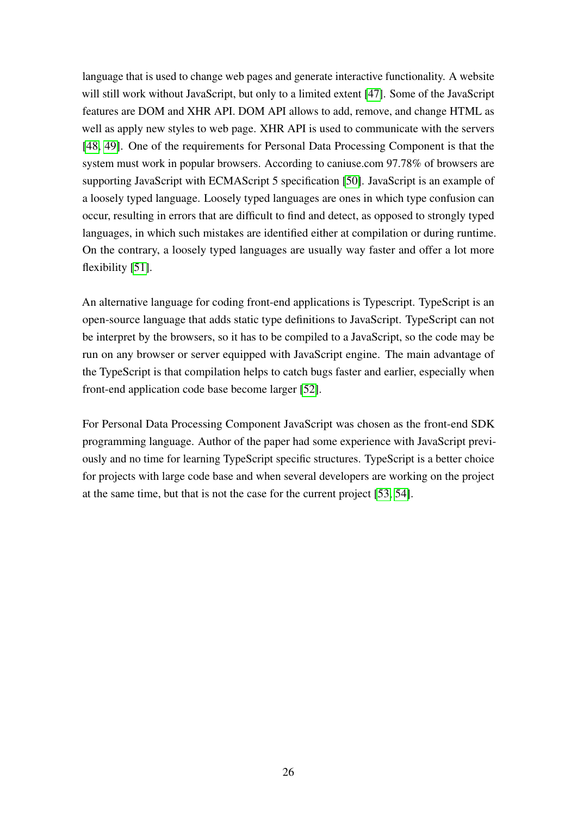language that is used to change web pages and generate interactive functionality. A website will still work without JavaScript, but only to a limited extent [\[47\]](#page-44-11). Some of the JavaScript features are DOM and XHR API. DOM API allows to add, remove, and change HTML as well as apply new styles to web page. XHR API is used to communicate with the servers [\[48,](#page-45-0) [49\]](#page-45-1). One of the requirements for Personal Data Processing Component is that the system must work in popular browsers. According to caniuse.com 97.78% of browsers are supporting JavaScript with ECMAScript 5 specification [\[50\]](#page-45-2). JavaScript is an example of a loosely typed language. Loosely typed languages are ones in which type confusion can occur, resulting in errors that are difficult to find and detect, as opposed to strongly typed languages, in which such mistakes are identified either at compilation or during runtime. On the contrary, a loosely typed languages are usually way faster and offer a lot more flexibility [\[51\]](#page-45-3).

An alternative language for coding front-end applications is Typescript. TypeScript is an open-source language that adds static type definitions to JavaScript. TypeScript can not be interpret by the browsers, so it has to be compiled to a JavaScript, so the code may be run on any browser or server equipped with JavaScript engine. The main advantage of the TypeScript is that compilation helps to catch bugs faster and earlier, especially when front-end application code base become larger [\[52\]](#page-45-4).

For Personal Data Processing Component JavaScript was chosen as the front-end SDK programming language. Author of the paper had some experience with JavaScript previously and no time for learning TypeScript specific structures. TypeScript is a better choice for projects with large code base and when several developers are working on the project at the same time, but that is not the case for the current project [\[53,](#page-45-5) [54\]](#page-45-6).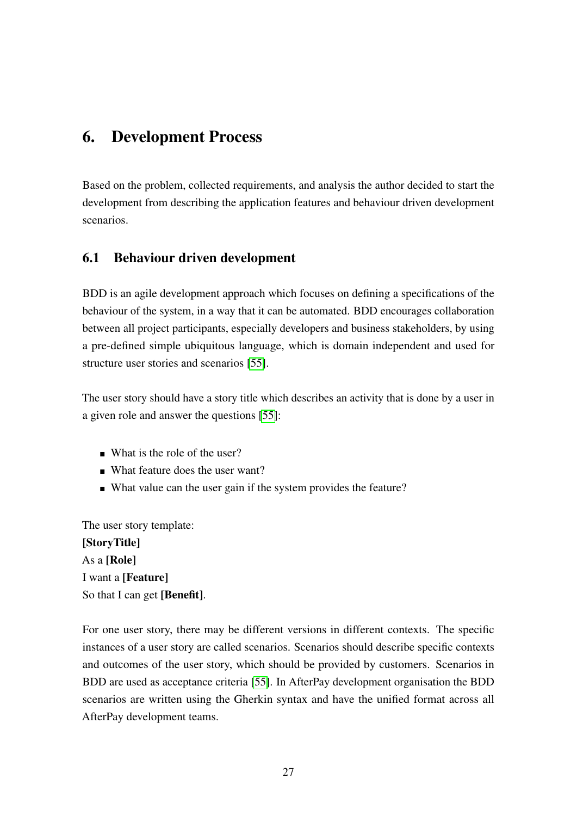# <span id="page-26-0"></span>6. Development Process

Based on the problem, collected requirements, and analysis the author decided to start the development from describing the application features and behaviour driven development scenarios.

## <span id="page-26-1"></span>6.1 Behaviour driven development

BDD is an agile development approach which focuses on defining a specifications of the behaviour of the system, in a way that it can be automated. BDD encourages collaboration between all project participants, especially developers and business stakeholders, by using a pre-defined simple ubiquitous language, which is domain independent and used for structure user stories and scenarios [\[55\]](#page-45-7).

The user story should have a story title which describes an activity that is done by a user in a given role and answer the questions [\[55\]](#page-45-7):

- What is the role of the user?
- What feature does the user want?
- What value can the user gain if the system provides the feature?

The user story template: [StoryTitle] As a [Role] I want a [Feature] So that I can get [Benefit].

For one user story, there may be different versions in different contexts. The specific instances of a user story are called scenarios. Scenarios should describe specific contexts and outcomes of the user story, which should be provided by customers. Scenarios in BDD are used as acceptance criteria [\[55\]](#page-45-7). In AfterPay development organisation the BDD scenarios are written using the Gherkin syntax and have the unified format across all AfterPay development teams.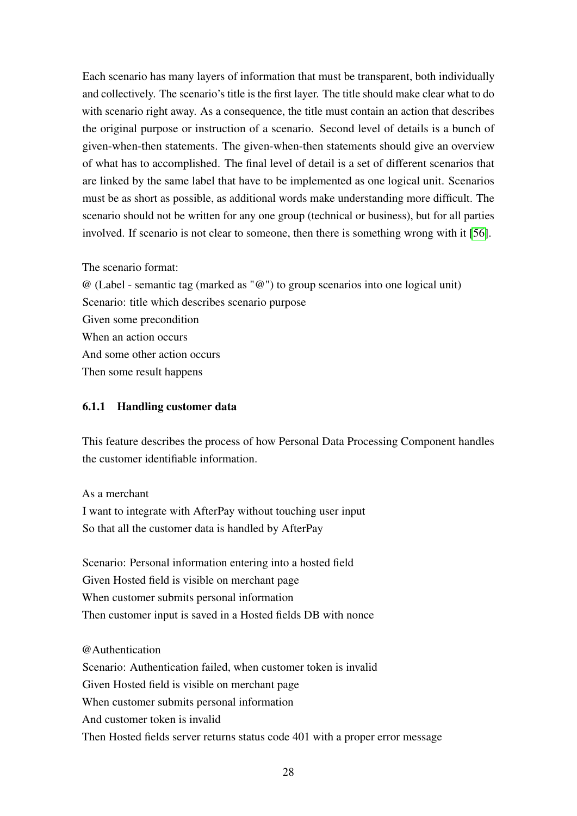Each scenario has many layers of information that must be transparent, both individually and collectively. The scenario's title is the first layer. The title should make clear what to do with scenario right away. As a consequence, the title must contain an action that describes the original purpose or instruction of a scenario. Second level of details is a bunch of given-when-then statements. The given-when-then statements should give an overview of what has to accomplished. The final level of detail is a set of different scenarios that are linked by the same label that have to be implemented as one logical unit. Scenarios must be as short as possible, as additional words make understanding more difficult. The scenario should not be written for any one group (technical or business), but for all parties involved. If scenario is not clear to someone, then there is something wrong with it [\[56\]](#page-45-8).

The scenario format:

@ (Label - semantic tag (marked as "@") to group scenarios into one logical unit) Scenario: title which describes scenario purpose Given some precondition When an action occurs And some other action occurs Then some result happens

#### <span id="page-27-0"></span>6.1.1 Handling customer data

This feature describes the process of how Personal Data Processing Component handles the customer identifiable information.

As a merchant

I want to integrate with AfterPay without touching user input So that all the customer data is handled by AfterPay

Scenario: Personal information entering into a hosted field Given Hosted field is visible on merchant page When customer submits personal information Then customer input is saved in a Hosted fields DB with nonce

@Authentication

Scenario: Authentication failed, when customer token is invalid Given Hosted field is visible on merchant page When customer submits personal information And customer token is invalid Then Hosted fields server returns status code 401 with a proper error message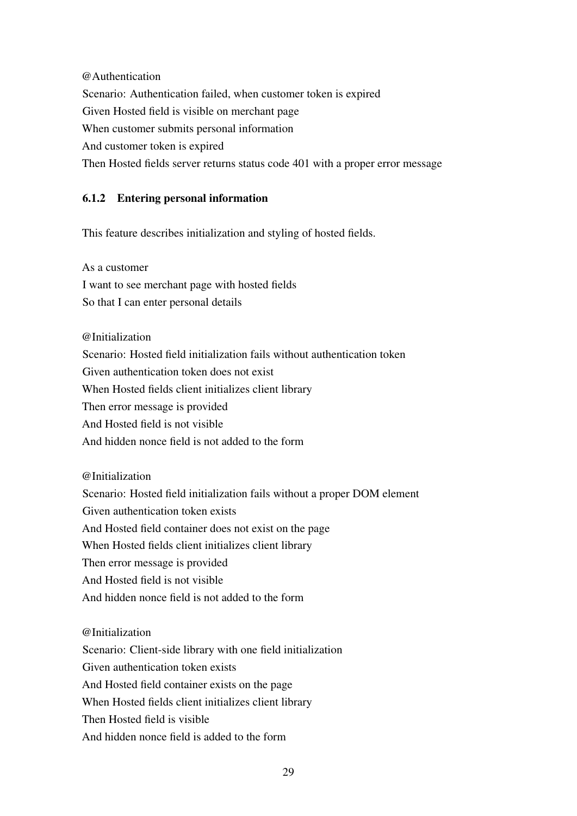@Authentication Scenario: Authentication failed, when customer token is expired Given Hosted field is visible on merchant page When customer submits personal information And customer token is expired Then Hosted fields server returns status code 401 with a proper error message

### <span id="page-28-0"></span>6.1.2 Entering personal information

This feature describes initialization and styling of hosted fields.

As a customer I want to see merchant page with hosted fields So that I can enter personal details

@Initialization Scenario: Hosted field initialization fails without authentication token Given authentication token does not exist When Hosted fields client initializes client library Then error message is provided And Hosted field is not visible And hidden nonce field is not added to the form

@Initialization

Scenario: Hosted field initialization fails without a proper DOM element Given authentication token exists And Hosted field container does not exist on the page When Hosted fields client initializes client library Then error message is provided And Hosted field is not visible And hidden nonce field is not added to the form

@Initialization

Scenario: Client-side library with one field initialization Given authentication token exists And Hosted field container exists on the page When Hosted fields client initializes client library Then Hosted field is visible And hidden nonce field is added to the form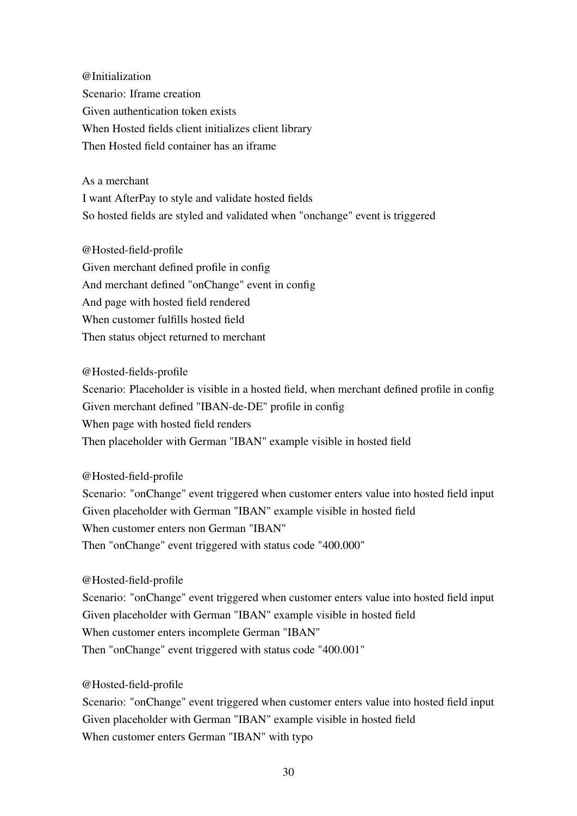@Initialization Scenario: Iframe creation Given authentication token exists When Hosted fields client initializes client library Then Hosted field container has an iframe

As a merchant I want AfterPay to style and validate hosted fields So hosted fields are styled and validated when "onchange" event is triggered

@Hosted-field-profile Given merchant defined profile in config And merchant defined "onChange" event in config And page with hosted field rendered When customer fulfills hosted field Then status object returned to merchant

@Hosted-fields-profile Scenario: Placeholder is visible in a hosted field, when merchant defined profile in config Given merchant defined "IBAN-de-DE" profile in config When page with hosted field renders Then placeholder with German "IBAN" example visible in hosted field

@Hosted-field-profile

Scenario: "onChange" event triggered when customer enters value into hosted field input Given placeholder with German "IBAN" example visible in hosted field When customer enters non German "IBAN" Then "onChange" event triggered with status code "400.000"

@Hosted-field-profile

Scenario: "onChange" event triggered when customer enters value into hosted field input Given placeholder with German "IBAN" example visible in hosted field When customer enters incomplete German "IBAN" Then "onChange" event triggered with status code "400.001"

@Hosted-field-profile

Scenario: "onChange" event triggered when customer enters value into hosted field input Given placeholder with German "IBAN" example visible in hosted field When customer enters German "IBAN" with typo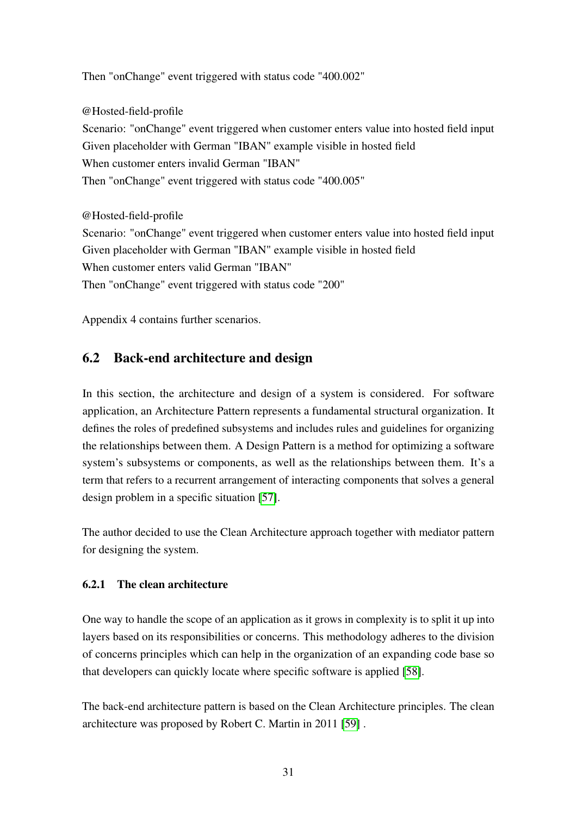Then "onChange" event triggered with status code "400.002"

@Hosted-field-profile Scenario: "onChange" event triggered when customer enters value into hosted field input Given placeholder with German "IBAN" example visible in hosted field When customer enters invalid German "IBAN" Then "onChange" event triggered with status code "400.005"

@Hosted-field-profile Scenario: "onChange" event triggered when customer enters value into hosted field input Given placeholder with German "IBAN" example visible in hosted field When customer enters valid German "IBAN" Then "onChange" event triggered with status code "200"

<span id="page-30-0"></span>Appendix 4 contains further scenarios.

# 6.2 Back-end architecture and design

In this section, the architecture and design of a system is considered. For software application, an Architecture Pattern represents a fundamental structural organization. It defines the roles of predefined subsystems and includes rules and guidelines for organizing the relationships between them. A Design Pattern is a method for optimizing a software system's subsystems or components, as well as the relationships between them. It's a term that refers to a recurrent arrangement of interacting components that solves a general design problem in a specific situation [\[57\]](#page-45-9).

The author decided to use the Clean Architecture approach together with mediator pattern for designing the system.

### <span id="page-30-1"></span>6.2.1 The clean architecture

One way to handle the scope of an application as it grows in complexity is to split it up into layers based on its responsibilities or concerns. This methodology adheres to the division of concerns principles which can help in the organization of an expanding code base so that developers can quickly locate where specific software is applied [\[58\]](#page-45-10).

The back-end architecture pattern is based on the Clean Architecture principles. The clean architecture was proposed by Robert C. Martin in 2011 [\[59\]](#page-46-0) .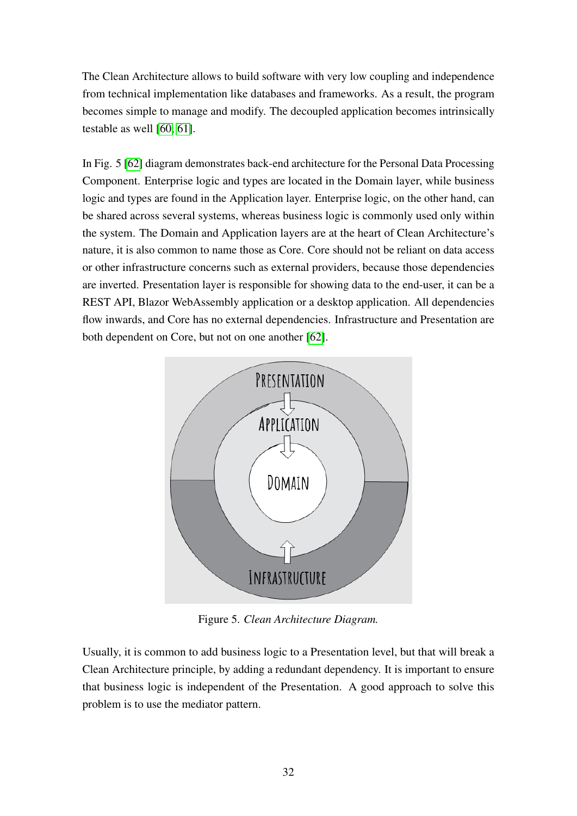The Clean Architecture allows to build software with very low coupling and independence from technical implementation like databases and frameworks. As a result, the program becomes simple to manage and modify. The decoupled application becomes intrinsically testable as well [\[60,](#page-46-1) [61\]](#page-46-2).

In Fig. 5 [\[62\]](#page-46-3) diagram demonstrates back-end architecture for the Personal Data Processing Component. Enterprise logic and types are located in the Domain layer, while business logic and types are found in the Application layer. Enterprise logic, on the other hand, can be shared across several systems, whereas business logic is commonly used only within the system. The Domain and Application layers are at the heart of Clean Architecture's nature, it is also common to name those as Core. Core should not be reliant on data access or other infrastructure concerns such as external providers, because those dependencies are inverted. Presentation layer is responsible for showing data to the end-user, it can be a REST API, Blazor WebAssembly application or a desktop application. All dependencies flow inwards, and Core has no external dependencies. Infrastructure and Presentation are both dependent on Core, but not on one another [\[62\]](#page-46-3).

<span id="page-31-0"></span>

Figure 5. *Clean Architecture Diagram.*

Usually, it is common to add business logic to a Presentation level, but that will break a Clean Architecture principle, by adding a redundant dependency. It is important to ensure that business logic is independent of the Presentation. A good approach to solve this problem is to use the mediator pattern.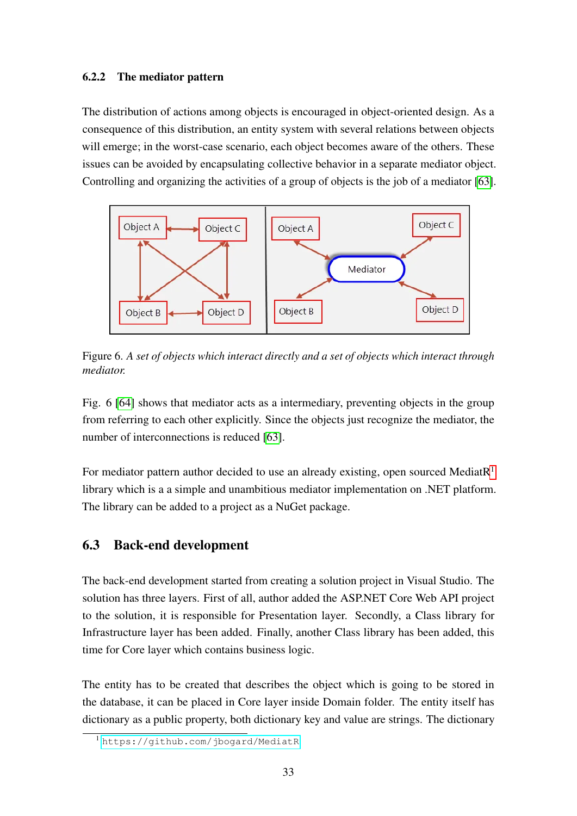#### <span id="page-32-0"></span>6.2.2 The mediator pattern

The distribution of actions among objects is encouraged in object-oriented design. As a consequence of this distribution, an entity system with several relations between objects will emerge; in the worst-case scenario, each object becomes aware of the others. These issues can be avoided by encapsulating collective behavior in a separate mediator object. Controlling and organizing the activities of a group of objects is the job of a mediator [\[63\]](#page-46-4).

<span id="page-32-2"></span>

Figure 6. *A set of objects which interact directly and a set of objects which interact through mediator.*

Fig. 6 [\[64\]](#page-46-5) shows that mediator acts as a intermediary, preventing objects in the group from referring to each other explicitly. Since the objects just recognize the mediator, the number of interconnections is reduced [\[63\]](#page-46-4).

For mediator pattern author decided to use an already existing, open sourced MediatR<sup>[1](#page-32-3)</sup> library which is a a simple and unambitious mediator implementation on .NET platform. The library can be added to a project as a NuGet package.

## <span id="page-32-1"></span>6.3 Back-end development

The back-end development started from creating a solution project in Visual Studio. The solution has three layers. First of all, author added the ASP.NET Core Web API project to the solution, it is responsible for Presentation layer. Secondly, a Class library for Infrastructure layer has been added. Finally, another Class library has been added, this time for Core layer which contains business logic.

The entity has to be created that describes the object which is going to be stored in the database, it can be placed in Core layer inside Domain folder. The entity itself has dictionary as a public property, both dictionary key and value are strings. The dictionary

<span id="page-32-3"></span><sup>1</sup> <https://github.com/jbogard/MediatR>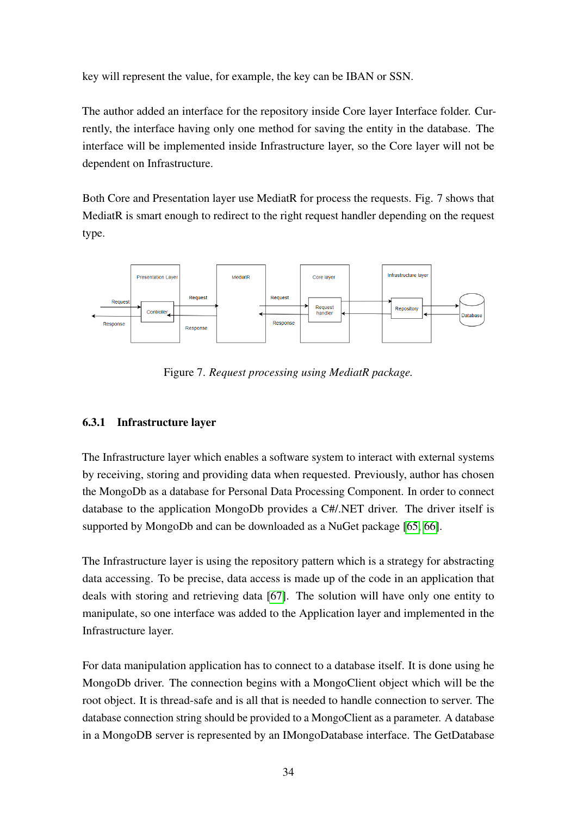key will represent the value, for example, the key can be IBAN or SSN.

The author added an interface for the repository inside Core layer Interface folder. Currently, the interface having only one method for saving the entity in the database. The interface will be implemented inside Infrastructure layer, so the Core layer will not be dependent on Infrastructure.

Both Core and Presentation layer use MediatR for process the requests. Fig. 7 shows that MediatR is smart enough to redirect to the right request handler depending on the request type.

<span id="page-33-1"></span>

Figure 7. *Request processing using MediatR package.*

### <span id="page-33-0"></span>6.3.1 Infrastructure layer

The Infrastructure layer which enables a software system to interact with external systems by receiving, storing and providing data when requested. Previously, author has chosen the MongoDb as a database for Personal Data Processing Component. In order to connect database to the application MongoDb provides a C#/.NET driver. The driver itself is supported by MongoDb and can be downloaded as a NuGet package [\[65,](#page-46-6) [66\]](#page-46-7).

The Infrastructure layer is using the repository pattern which is a strategy for abstracting data accessing. To be precise, data access is made up of the code in an application that deals with storing and retrieving data [\[67\]](#page-46-8). The solution will have only one entity to manipulate, so one interface was added to the Application layer and implemented in the Infrastructure layer.

For data manipulation application has to connect to a database itself. It is done using he MongoDb driver. The connection begins with a MongoClient object which will be the root object. It is thread-safe and is all that is needed to handle connection to server. The database connection string should be provided to a MongoClient as a parameter. A database in a MongoDB server is represented by an IMongoDatabase interface. The GetDatabase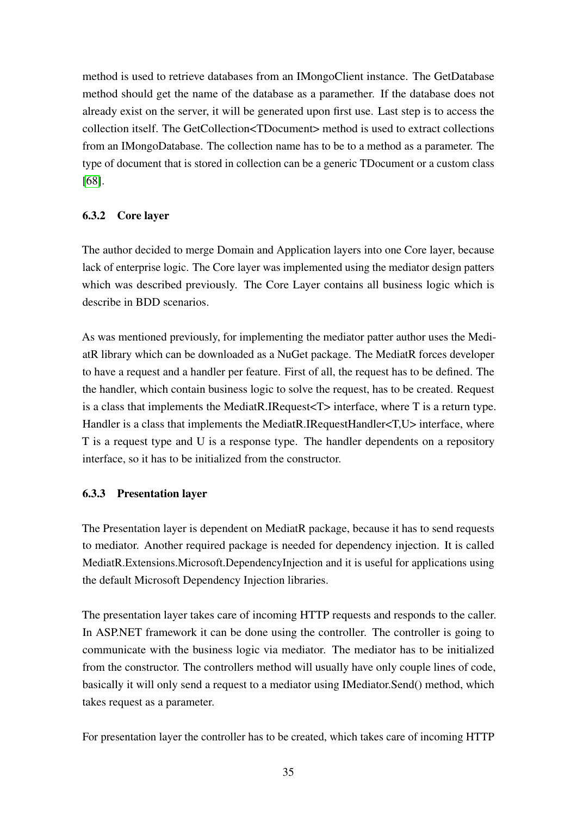method is used to retrieve databases from an IMongoClient instance. The GetDatabase method should get the name of the database as a paramether. If the database does not already exist on the server, it will be generated upon first use. Last step is to access the collection itself. The GetCollection<TDocument> method is used to extract collections from an IMongoDatabase. The collection name has to be to a method as a parameter. The type of document that is stored in collection can be a generic TDocument or a custom class [\[68\]](#page-46-9).

### <span id="page-34-0"></span>6.3.2 Core layer

The author decided to merge Domain and Application layers into one Core layer, because lack of enterprise logic. The Core layer was implemented using the mediator design patters which was described previously. The Core Layer contains all business logic which is describe in BDD scenarios.

As was mentioned previously, for implementing the mediator patter author uses the MediatR library which can be downloaded as a NuGet package. The MediatR forces developer to have a request and a handler per feature. First of all, the request has to be defined. The the handler, which contain business logic to solve the request, has to be created. Request is a class that implements the MediatR.IRequest $\langle T \rangle$  interface, where T is a return type. Handler is a class that implements the MediatR.IRequestHandler<T,U> interface, where T is a request type and U is a response type. The handler dependents on a repository interface, so it has to be initialized from the constructor.

### <span id="page-34-1"></span>6.3.3 Presentation layer

The Presentation layer is dependent on MediatR package, because it has to send requests to mediator. Another required package is needed for dependency injection. It is called MediatR.Extensions.Microsoft.DependencyInjection and it is useful for applications using the default Microsoft Dependency Injection libraries.

The presentation layer takes care of incoming HTTP requests and responds to the caller. In ASP.NET framework it can be done using the controller. The controller is going to communicate with the business logic via mediator. The mediator has to be initialized from the constructor. The controllers method will usually have only couple lines of code, basically it will only send a request to a mediator using IMediator.Send() method, which takes request as a parameter.

For presentation layer the controller has to be created, which takes care of incoming HTTP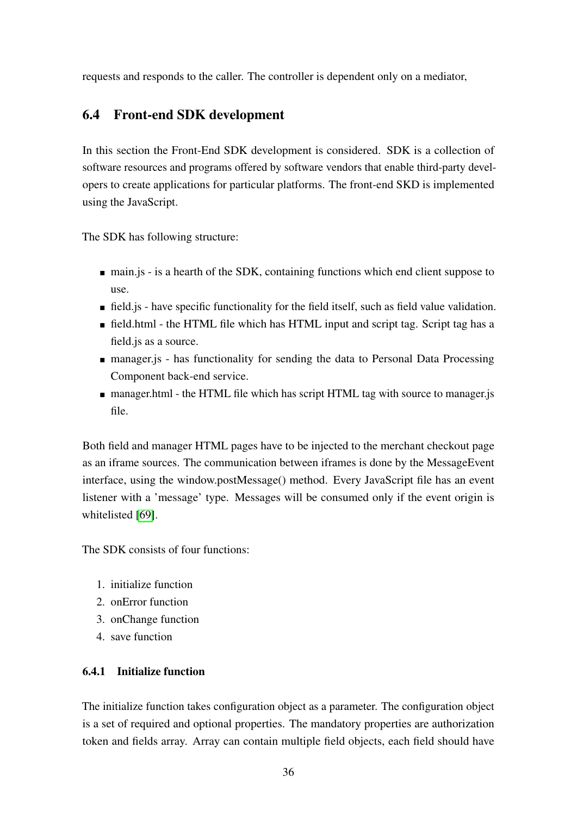<span id="page-35-0"></span>requests and responds to the caller. The controller is dependent only on a mediator,

# 6.4 Front-end SDK development

In this section the Front-End SDK development is considered. SDK is a collection of software resources and programs offered by software vendors that enable third-party developers to create applications for particular platforms. The front-end SKD is implemented using the JavaScript.

The SDK has following structure:

- $\blacksquare$  main. is is a hearth of the SDK, containing functions which end client suppose to use.
- field.js have specific functionality for the field itself, such as field value validation.
- field.html the HTML file which has HTML input and script tag. Script tag has a field.js as a source.
- manager.js has functionality for sending the data to Personal Data Processing Component back-end service.
- manager.html the HTML file which has script HTML tag with source to manager.js file.

Both field and manager HTML pages have to be injected to the merchant checkout page as an iframe sources. The communication between iframes is done by the MessageEvent interface, using the window.postMessage() method. Every JavaScript file has an event listener with a 'message' type. Messages will be consumed only if the event origin is whitelisted [\[69\]](#page-46-10).

The SDK consists of four functions:

- 1. initialize function
- 2. onError function
- 3. onChange function
- <span id="page-35-1"></span>4. save function

### 6.4.1 Initialize function

The initialize function takes configuration object as a parameter. The configuration object is a set of required and optional properties. The mandatory properties are authorization token and fields array. Array can contain multiple field objects, each field should have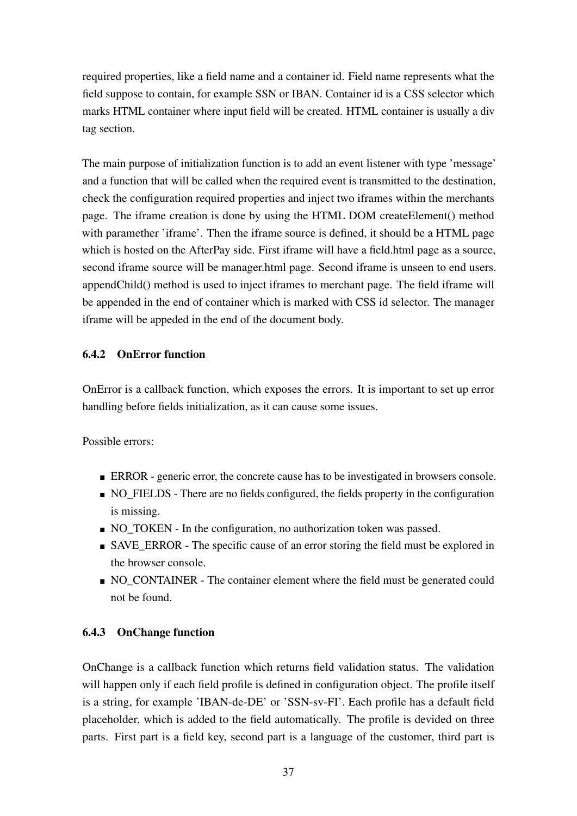required properties, like a field name and a container id. Field name represents what the field suppose to contain, for example SSN or IBAN. Container id is a CSS selector which marks HTML container where input field will be created. HTML container is usually a div tag section.

The main purpose of initialization function is to add an event listener with type 'message' and a function that will be called when the required event is transmitted to the destination, check the configuration required properties and inject two iframes within the merchants page. The iframe creation is done by using the HTML DOM createElement() method with paramether 'iframe'. Then the iframe source is defined, it should be a HTML page which is hosted on the AfterPay side. First iframe will have a field.html page as a source, second iframe source will be manager.html page. Second iframe is unseen to end users. appendChild() method is used to inject iframes to merchant page. The field iframe will be appended in the end of container which is marked with CSS id selector. The manager iframe will be appeded in the end of the document body.

## <span id="page-36-0"></span>6.4.2 OnError function

OnError is a callback function, which exposes the errors. It is important to set up error handling before fields initialization, as it can cause some issues.

Possible errors:

- **ERROR** generic error, the concrete cause has to be investigated in browsers console.
- NO FIELDS There are no fields configured, the fields property in the configuration is missing.
- NO\_TOKEN In the configuration, no authorization token was passed.
- SAVE\_ERROR The specific cause of an error storing the field must be explored in the browser console.
- NO\_CONTAINER The container element where the field must be generated could not be found.

## <span id="page-36-1"></span>6.4.3 OnChange function

OnChange is a callback function which returns field validation status. The validation will happen only if each field profile is defined in configuration object. The profile itself is a string, for example 'IBAN-de-DE' or 'SSN-sv-FI'. Each profile has a default field placeholder, which is added to the field automatically. The profile is devided on three parts. First part is a field key, second part is a language of the customer, third part is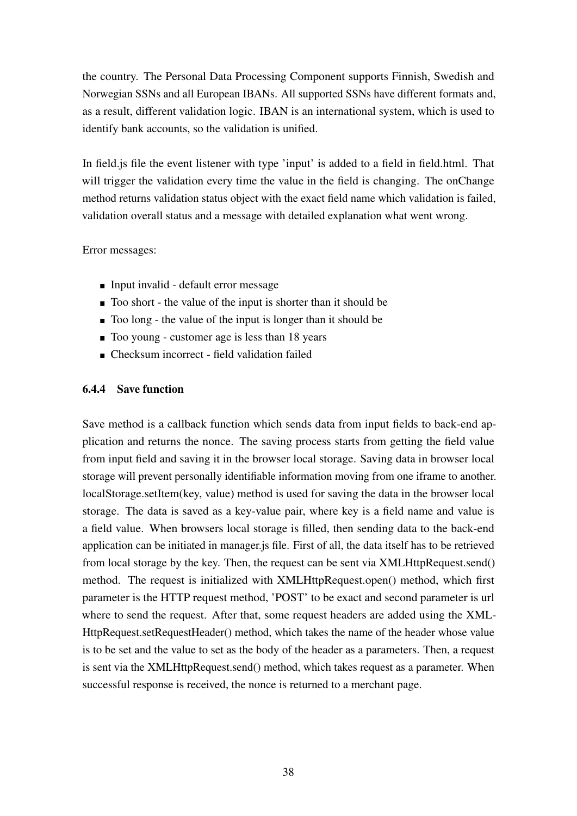the country. The Personal Data Processing Component supports Finnish, Swedish and Norwegian SSNs and all European IBANs. All supported SSNs have different formats and, as a result, different validation logic. IBAN is an international system, which is used to identify bank accounts, so the validation is unified.

In field.js file the event listener with type 'input' is added to a field in field.html. That will trigger the validation every time the value in the field is changing. The onChange method returns validation status object with the exact field name which validation is failed, validation overall status and a message with detailed explanation what went wrong.

#### Error messages:

- Input invalid default error message
- Too short the value of the input is shorter than it should be
- Too long the value of the input is longer than it should be
- Too young customer age is less than 18 years
- <span id="page-37-0"></span>Checksum incorrect - field validation failed

#### 6.4.4 Save function

Save method is a callback function which sends data from input fields to back-end application and returns the nonce. The saving process starts from getting the field value from input field and saving it in the browser local storage. Saving data in browser local storage will prevent personally identifiable information moving from one iframe to another. localStorage.setItem(key, value) method is used for saving the data in the browser local storage. The data is saved as a key-value pair, where key is a field name and value is a field value. When browsers local storage is filled, then sending data to the back-end application can be initiated in manager.js file. First of all, the data itself has to be retrieved from local storage by the key. Then, the request can be sent via XMLHttpRequest.send() method. The request is initialized with XMLHttpRequest.open() method, which first parameter is the HTTP request method, 'POST' to be exact and second parameter is url where to send the request. After that, some request headers are added using the XML-HttpRequest.setRequestHeader() method, which takes the name of the header whose value is to be set and the value to set as the body of the header as a parameters. Then, a request is sent via the XMLHttpRequest.send() method, which takes request as a parameter. When successful response is received, the nonce is returned to a merchant page.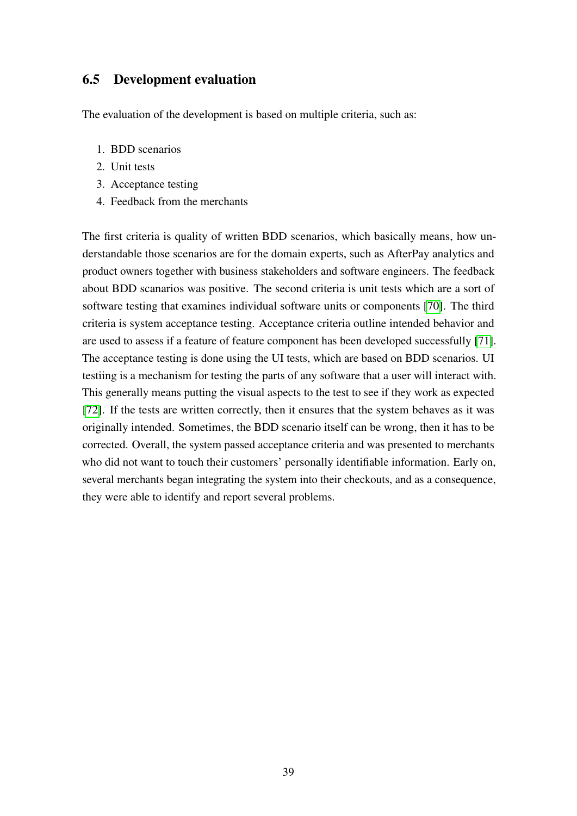## <span id="page-38-0"></span>6.5 Development evaluation

The evaluation of the development is based on multiple criteria, such as:

- 1. BDD scenarios
- 2. Unit tests
- 3. Acceptance testing
- 4. Feedback from the merchants

The first criteria is quality of written BDD scenarios, which basically means, how understandable those scenarios are for the domain experts, such as AfterPay analytics and product owners together with business stakeholders and software engineers. The feedback about BDD scanarios was positive. The second criteria is unit tests which are a sort of software testing that examines individual software units or components [\[70\]](#page-46-11). The third criteria is system acceptance testing. Acceptance criteria outline intended behavior and are used to assess if a feature of feature component has been developed successfully [\[71\]](#page-47-0). The acceptance testing is done using the UI tests, which are based on BDD scenarios. UI testiing is a mechanism for testing the parts of any software that a user will interact with. This generally means putting the visual aspects to the test to see if they work as expected [\[72\]](#page-47-1). If the tests are written correctly, then it ensures that the system behaves as it was originally intended. Sometimes, the BDD scenario itself can be wrong, then it has to be corrected. Overall, the system passed acceptance criteria and was presented to merchants who did not want to touch their customers' personally identifiable information. Early on, several merchants began integrating the system into their checkouts, and as a consequence, they were able to identify and report several problems.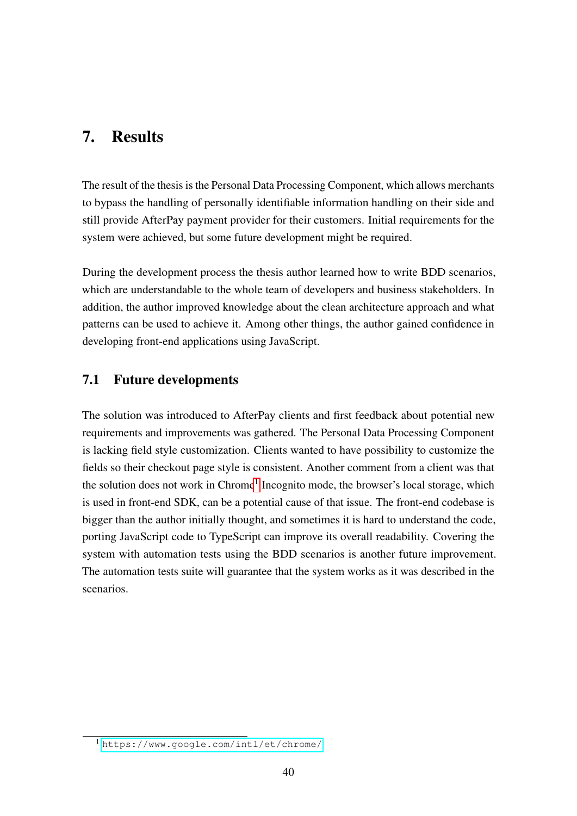# <span id="page-39-0"></span>7. Results

The result of the thesis is the Personal Data Processing Component, which allows merchants to bypass the handling of personally identifiable information handling on their side and still provide AfterPay payment provider for their customers. Initial requirements for the system were achieved, but some future development might be required.

During the development process the thesis author learned how to write BDD scenarios, which are understandable to the whole team of developers and business stakeholders. In addition, the author improved knowledge about the clean architecture approach and what patterns can be used to achieve it. Among other things, the author gained confidence in developing front-end applications using JavaScript.

# <span id="page-39-1"></span>7.1 Future developments

The solution was introduced to AfterPay clients and first feedback about potential new requirements and improvements was gathered. The Personal Data Processing Component is lacking field style customization. Clients wanted to have possibility to customize the fields so their checkout page style is consistent. Another comment from a client was that the solution does not work in Chrome<sup>[1](#page-39-2)</sup> Incognito mode, the browser's local storage, which is used in front-end SDK, can be a potential cause of that issue. The front-end codebase is bigger than the author initially thought, and sometimes it is hard to understand the code, porting JavaScript code to TypeScript can improve its overall readability. Covering the system with automation tests using the BDD scenarios is another future improvement. The automation tests suite will guarantee that the system works as it was described in the scenarios.

<span id="page-39-2"></span><sup>1</sup> <https://www.google.com/intl/et/chrome/>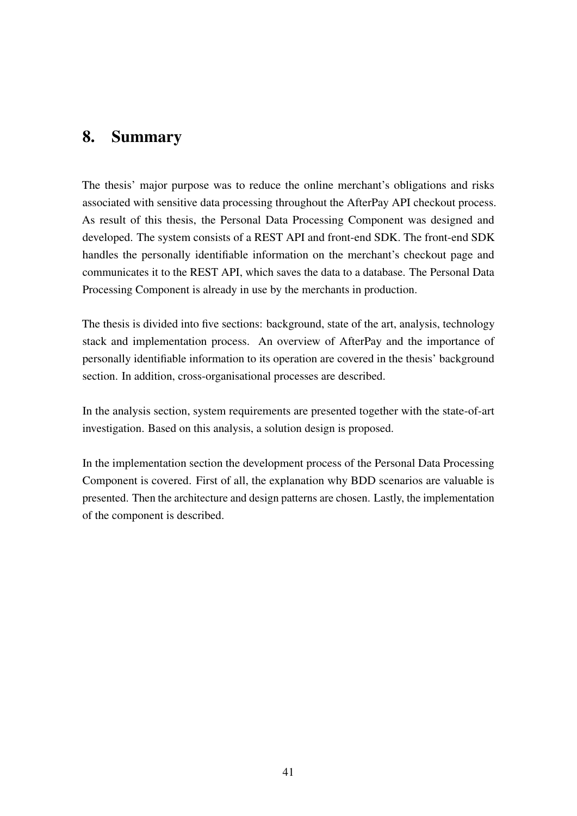# <span id="page-40-0"></span>8. Summary

The thesis' major purpose was to reduce the online merchant's obligations and risks associated with sensitive data processing throughout the AfterPay API checkout process. As result of this thesis, the Personal Data Processing Component was designed and developed. The system consists of a REST API and front-end SDK. The front-end SDK handles the personally identifiable information on the merchant's checkout page and communicates it to the REST API, which saves the data to a database. The Personal Data Processing Component is already in use by the merchants in production.

The thesis is divided into five sections: background, state of the art, analysis, technology stack and implementation process. An overview of AfterPay and the importance of personally identifiable information to its operation are covered in the thesis' background section. In addition, cross-organisational processes are described.

In the analysis section, system requirements are presented together with the state-of-art investigation. Based on this analysis, a solution design is proposed.

In the implementation section the development process of the Personal Data Processing Component is covered. First of all, the explanation why BDD scenarios are valuable is presented. Then the architecture and design patterns are chosen. Lastly, the implementation of the component is described.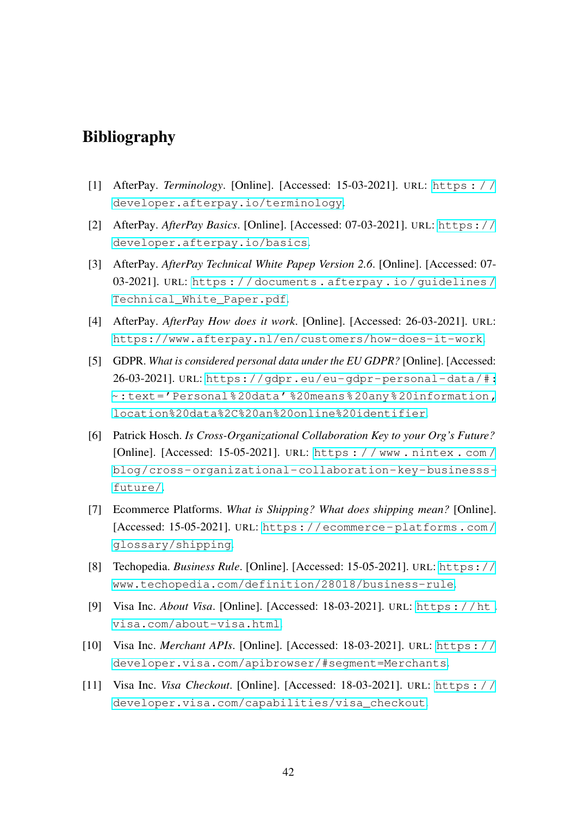# <span id="page-41-1"></span>Bibliography

- <span id="page-41-0"></span>[1] AfterPay. *Terminology*. [Online]. [Accessed: 15-03-2021]. URL: [https : / /](https://developer.afterpay.io/terminology) [developer.afterpay.io/terminology](https://developer.afterpay.io/terminology).
- <span id="page-41-2"></span>[2] AfterPay. *AfterPay Basics*. [Online]. [Accessed: 07-03-2021]. URL: [https://](https://developer.afterpay.io/basics) [developer.afterpay.io/basics](https://developer.afterpay.io/basics).
- <span id="page-41-3"></span>[3] AfterPay. *AfterPay Technical White Papep Version 2.6*. [Online]. [Accessed: 07- 03-2021]. URL: [https : / / documents . afterpay . io / guidelines /](https://documents.afterpay.io/guidelines/Technical_White_Paper.pdf) [Technical\\_White\\_Paper.pdf](https://documents.afterpay.io/guidelines/Technical_White_Paper.pdf).
- <span id="page-41-4"></span>[4] AfterPay. *AfterPay How does it work*. [Online]. [Accessed: 26-03-2021]. URL: <https://www.afterpay.nl/en/customers/how-does-it-work>.
- <span id="page-41-5"></span>[5] GDPR. *What is considered personal data under the EU GDPR?* [Online]. [Accessed: 26-03-2021]. URL: [https://gdpr.eu/eu-gdpr-personal-data/#:](https://gdpr.eu/eu-gdpr-personal-data/#:~:text=) [~:text='Personal%20data' %20means%20any%20information,](https://gdpr.eu/eu-gdpr-personal-data/#:~:text=) [location%20data%2C%20an%20online%20identifier](https://gdpr.eu/eu-gdpr-personal-data/#:~:text=).
- <span id="page-41-6"></span>[6] Patrick Hosch. *Is Cross-Organizational Collaboration Key to your Org's Future?* [Online]. [Accessed: 15-05-2021]. URL: [https : / / www . nintex . com /](https://www.nintex.com/blog/cross-organizational-collaboration-key-businesss-future/) [blog/cross-organizational-collaboration-key-businesss](https://www.nintex.com/blog/cross-organizational-collaboration-key-businesss-future/)[future/](https://www.nintex.com/blog/cross-organizational-collaboration-key-businesss-future/).
- <span id="page-41-7"></span>[7] Ecommerce Platforms. *What is Shipping? What does shipping mean?* [Online]. [Accessed: 15-05-2021]. URL: [https://ecommerce- platforms.com/](https://ecommerce-platforms.com/glossary/shipping) [glossary/shipping](https://ecommerce-platforms.com/glossary/shipping).
- <span id="page-41-8"></span>[8] Techopedia. *Business Rule*. [Online]. [Accessed: 15-05-2021]. URL: [https://](https://www.techopedia.com/definition/28018/business-rule) [www.techopedia.com/definition/28018/business-rule](https://www.techopedia.com/definition/28018/business-rule).
- <span id="page-41-9"></span>[9] Visa Inc. *About Visa*. [Online]. [Accessed: 18-03-2021]. URL: [https://ht.](https://ht.visa.com/about-visa.html) [visa.com/about-visa.html](https://ht.visa.com/about-visa.html).
- <span id="page-41-10"></span>[10] Visa Inc. *Merchant APIs*. [Online]. [Accessed: 18-03-2021]. URL: [https://](https://developer.visa.com/apibrowser/#segment=Merchants) [developer.visa.com/apibrowser/#segment=Merchants](https://developer.visa.com/apibrowser/#segment=Merchants).
- <span id="page-41-11"></span>[11] Visa Inc. *Visa Checkout*. [Online]. [Accessed: 18-03-2021]. URL: [https : / /](https://developer.visa.com/capabilities/visa_checkout) [developer.visa.com/capabilities/visa\\_checkout](https://developer.visa.com/capabilities/visa_checkout).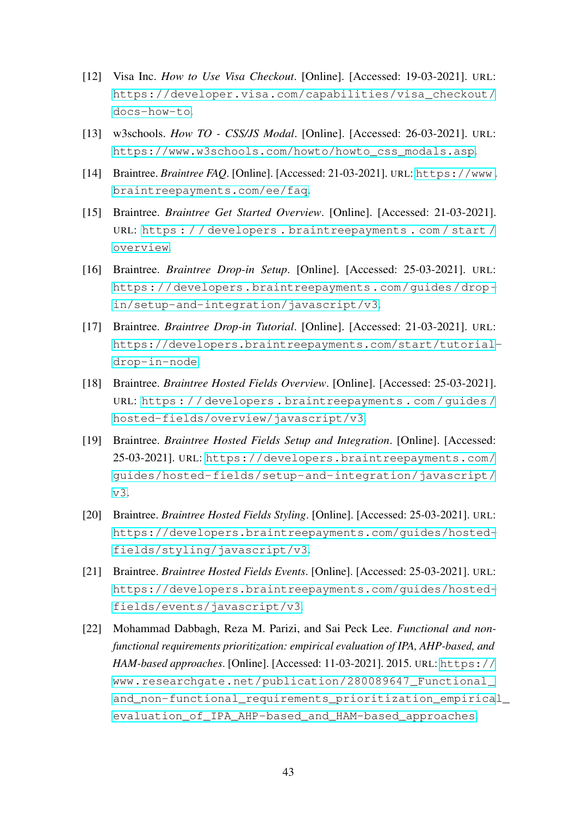- <span id="page-42-0"></span>[12] Visa Inc. *How to Use Visa Checkout*. [Online]. [Accessed: 19-03-2021]. URL: [https://developer.visa.com/capabilities/visa\\_checkout/](https://developer.visa.com/capabilities/visa_checkout/docs-how-to) [docs-how-to](https://developer.visa.com/capabilities/visa_checkout/docs-how-to).
- <span id="page-42-1"></span>[13] w3schools. *How TO - CSS/JS Modal*. [Online]. [Accessed: 26-03-2021]. URL: [https://www.w3schools.com/howto/howto\\_css\\_modals.asp](https://www.w3schools.com/howto/howto_css_modals.asp).
- <span id="page-42-2"></span>[14] Braintree. *Braintree FAQ*. [Online]. [Accessed: 21-03-2021]. URL: [https://www.](https://www.braintreepayments.com/ee/faq) [braintreepayments.com/ee/faq](https://www.braintreepayments.com/ee/faq).
- <span id="page-42-3"></span>[15] Braintree. *Braintree Get Started Overview*. [Online]. [Accessed: 21-03-2021]. URL: [https : / / developers . braintreepayments . com / start /](https://developers.braintreepayments.com/start/overview) [overview](https://developers.braintreepayments.com/start/overview).
- <span id="page-42-4"></span>[16] Braintree. *Braintree Drop-in Setup*. [Online]. [Accessed: 25-03-2021]. URL: [https://developers.braintreepayments.com/guides/drop](https://developers.braintreepayments.com/guides/drop-in/setup-and-integration/javascript/v3)[in/setup-and-integration/javascript/v3](https://developers.braintreepayments.com/guides/drop-in/setup-and-integration/javascript/v3).
- <span id="page-42-5"></span>[17] Braintree. *Braintree Drop-in Tutorial*. [Online]. [Accessed: 21-03-2021]. URL: [https://developers.braintreepayments.com/start/tutorial](https://developers.braintreepayments.com/start/tutorial-drop-in-node)[drop-in-node](https://developers.braintreepayments.com/start/tutorial-drop-in-node).
- <span id="page-42-6"></span>[18] Braintree. *Braintree Hosted Fields Overview*. [Online]. [Accessed: 25-03-2021]. URL: [https : / / developers . braintreepayments . com / guides /](https://developers.braintreepayments.com/guides/hosted-fields/overview/javascript/v3) [hosted-fields/overview/javascript/v3](https://developers.braintreepayments.com/guides/hosted-fields/overview/javascript/v3).
- <span id="page-42-7"></span>[19] Braintree. *Braintree Hosted Fields Setup and Integration*. [Online]. [Accessed: 25-03-2021]. URL: [https://developers.braintreepayments.com/](https://developers.braintreepayments.com/guides/hosted-fields/setup-and-integration/javascript/v3) [guides/hosted-fields/setup-and-integration/javascript/](https://developers.braintreepayments.com/guides/hosted-fields/setup-and-integration/javascript/v3) [v3](https://developers.braintreepayments.com/guides/hosted-fields/setup-and-integration/javascript/v3).
- <span id="page-42-8"></span>[20] Braintree. *Braintree Hosted Fields Styling*. [Online]. [Accessed: 25-03-2021]. URL: [https://developers.braintreepayments.com/guides/hosted](https://developers.braintreepayments.com/guides/hosted-fields/styling/javascript/v3)[fields/styling/javascript/v3](https://developers.braintreepayments.com/guides/hosted-fields/styling/javascript/v3).
- <span id="page-42-9"></span>[21] Braintree. *Braintree Hosted Fields Events*. [Online]. [Accessed: 25-03-2021]. URL: [https://developers.braintreepayments.com/guides/hosted](https://developers.braintreepayments.com/guides/hosted-fields/events/javascript/v3)[fields/events/javascript/v3](https://developers.braintreepayments.com/guides/hosted-fields/events/javascript/v3).
- <span id="page-42-10"></span>[22] Mohammad Dabbagh, Reza M. Parizi, and Sai Peck Lee. *Functional and nonfunctional requirements prioritization: empirical evaluation of IPA, AHP-based, and HAM-based approaches*. [Online]. [Accessed: 11-03-2021]. 2015. URL: [https://](https://www.researchgate.net/publication/280089647_Functional_and_non-functional_requirements_prioritization_empirical_evaluation_of_IPA_AHP-based_and_HAM-based_approaches) [www.researchgate.net/publication/280089647\\_Functional\\_](https://www.researchgate.net/publication/280089647_Functional_and_non-functional_requirements_prioritization_empirical_evaluation_of_IPA_AHP-based_and_HAM-based_approaches) [and\\_non-functional\\_requirements\\_prioritization\\_empirica](https://www.researchgate.net/publication/280089647_Functional_and_non-functional_requirements_prioritization_empirical_evaluation_of_IPA_AHP-based_and_HAM-based_approaches)l\_ [evaluation\\_of\\_IPA\\_AHP-based\\_and\\_HAM-based\\_approaches](https://www.researchgate.net/publication/280089647_Functional_and_non-functional_requirements_prioritization_empirical_evaluation_of_IPA_AHP-based_and_HAM-based_approaches).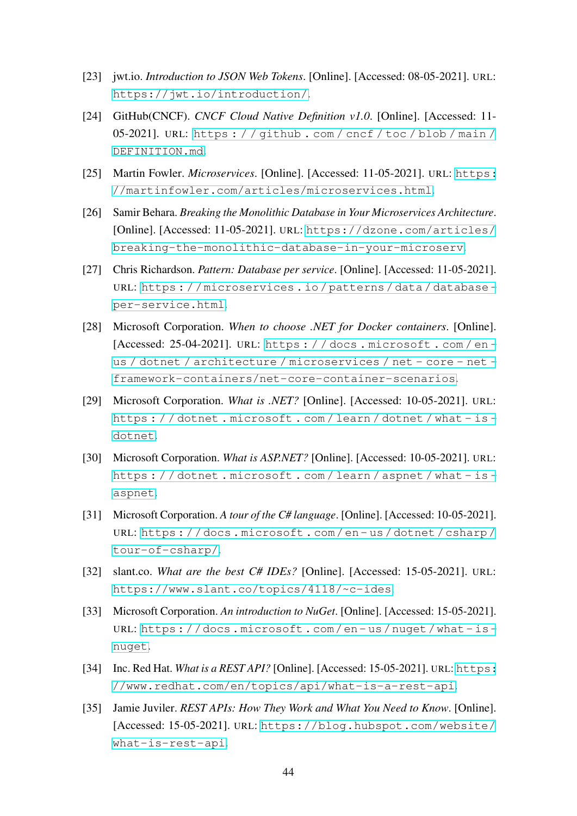- <span id="page-43-0"></span>[23] jwt.io. *Introduction to JSON Web Tokens*. [Online]. [Accessed: 08-05-2021]. URL: <https://jwt.io/introduction/>.
- <span id="page-43-1"></span>[24] GitHub(CNCF). *CNCF Cloud Native Definition v1.0*. [Online]. [Accessed: 11- 05-2021]. URL: [https : / / github . com / cncf / toc / blob / main /](https://github.com/cncf/toc/blob/main/DEFINITION.md) [DEFINITION.md](https://github.com/cncf/toc/blob/main/DEFINITION.md).
- <span id="page-43-2"></span>[25] Martin Fowler. *Microservices*. [Online]. [Accessed: 11-05-2021]. URL: [https:](https://martinfowler.com/articles/microservices.html) [//martinfowler.com/articles/microservices.html](https://martinfowler.com/articles/microservices.html).
- <span id="page-43-3"></span>[26] Samir Behara. *Breaking the Monolithic Database in Your Microservices Architecture*. [Online]. [Accessed: 11-05-2021]. URL: [https://dzone.com/articles/](https://dzone.com/articles/breaking-the-monolithic-database-in-your-microserv) [breaking-the-monolithic-database-in-your-microserv](https://dzone.com/articles/breaking-the-monolithic-database-in-your-microserv).
- <span id="page-43-4"></span>[27] Chris Richardson. *Pattern: Database per service*. [Online]. [Accessed: 11-05-2021]. URL: [https : / / microservices . io / patterns / data / database](https://microservices.io/patterns/data/database-per-service.html)  [per-service.html](https://microservices.io/patterns/data/database-per-service.html).
- <span id="page-43-5"></span>[28] Microsoft Corporation. *When to choose .NET for Docker containers*. [Online]. [Accessed: 25-04-2021]. URL: [https : / / docs . microsoft . com / en](https://docs.microsoft.com/en-us/dotnet/architecture/microservices/net-core-net-framework-containers/net-core-container-scenarios)  [us / dotnet / architecture / microservices / net - core - net](https://docs.microsoft.com/en-us/dotnet/architecture/microservices/net-core-net-framework-containers/net-core-container-scenarios)  [framework-containers/net-core-container-scenarios](https://docs.microsoft.com/en-us/dotnet/architecture/microservices/net-core-net-framework-containers/net-core-container-scenarios).
- <span id="page-43-6"></span>[29] Microsoft Corporation. *What is .NET?* [Online]. [Accessed: 10-05-2021]. URL: [https : / / dotnet . microsoft . com / learn / dotnet / what - is](https://dotnet.microsoft.com/learn/dotnet/what-is-dotnet)  [dotnet](https://dotnet.microsoft.com/learn/dotnet/what-is-dotnet).
- <span id="page-43-7"></span>[30] Microsoft Corporation. *What is ASP.NET?* [Online]. [Accessed: 10-05-2021]. URL: [https : / / dotnet . microsoft . com / learn / aspnet / what - is](https://dotnet.microsoft.com/learn/aspnet/what-is-aspnet)  [aspnet](https://dotnet.microsoft.com/learn/aspnet/what-is-aspnet).
- <span id="page-43-8"></span>[31] Microsoft Corporation. *A tour of the C# language*. [Online]. [Accessed: 10-05-2021]. URL: [https : / / docs . microsoft . com / en - us / dotnet / csharp /](https://docs.microsoft.com/en-us/dotnet/csharp/tour-of-csharp/) [tour-of-csharp/](https://docs.microsoft.com/en-us/dotnet/csharp/tour-of-csharp/).
- <span id="page-43-9"></span>[32] slant.co. *What are the best C# IDEs?* [Online]. [Accessed: 15-05-2021]. URL: <https://www.slant.co/topics/4118/~c-ides>.
- <span id="page-43-10"></span>[33] Microsoft Corporation. *An introduction to NuGet*. [Online]. [Accessed: 15-05-2021]. URL: [https : / / docs . microsoft . com / en - us / nuget / what - is](https://docs.microsoft.com/en-us/nuget/what-is-nuget)  [nuget](https://docs.microsoft.com/en-us/nuget/what-is-nuget).
- <span id="page-43-11"></span>[34] Inc. Red Hat. *What is a REST API?* [Online]. [Accessed: 15-05-2021]. URL: [https:](https://www.redhat.com/en/topics/api/what-is-a-rest-api) [//www.redhat.com/en/topics/api/what-is-a-rest-api](https://www.redhat.com/en/topics/api/what-is-a-rest-api).
- <span id="page-43-12"></span>[35] Jamie Juviler. *REST APIs: How They Work and What You Need to Know*. [Online]. [Accessed: 15-05-2021]. URL: [https://blog.hubspot.com/website/](https://blog.hubspot.com/website/what-is-rest-api) [what-is-rest-api](https://blog.hubspot.com/website/what-is-rest-api).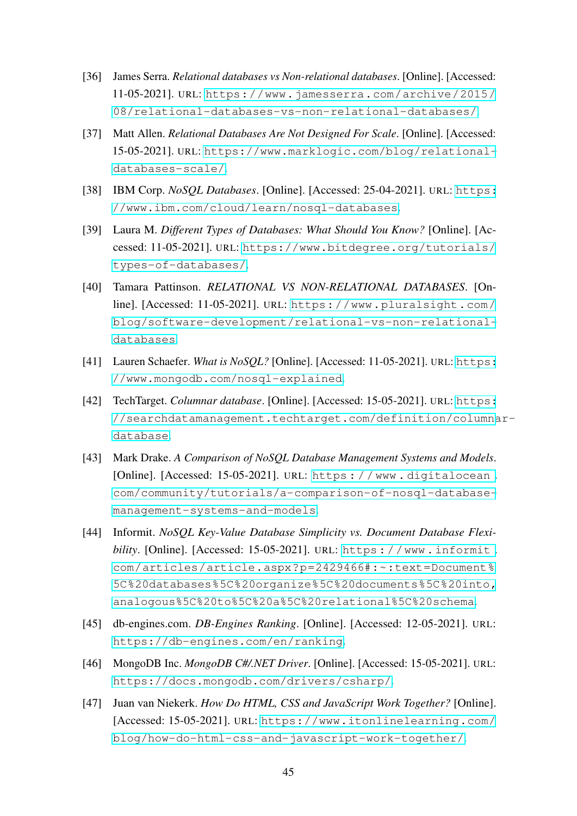- <span id="page-44-0"></span>[36] James Serra. *Relational databases vs Non-relational databases*. [Online]. [Accessed: 11-05-2021]. URL: [https://www.jamesserra.com/archive/2015/](https://www.jamesserra.com/archive/2015/08/relational-databases-vs-non-relational-databases/) [08/relational-databases-vs-non-relational-databases/](https://www.jamesserra.com/archive/2015/08/relational-databases-vs-non-relational-databases/).
- <span id="page-44-1"></span>[37] Matt Allen. *Relational Databases Are Not Designed For Scale*. [Online]. [Accessed: 15-05-2021]. URL: [https://www.marklogic.com/blog/relational](https://www.marklogic.com/blog/relational-databases-scale/)[databases-scale/](https://www.marklogic.com/blog/relational-databases-scale/).
- <span id="page-44-2"></span>[38] IBM Corp. *NoSQL Databases*. [Online]. [Accessed: 25-04-2021]. URL: [https:](https://www.ibm.com/cloud/learn/nosql-databases) [//www.ibm.com/cloud/learn/nosql-databases](https://www.ibm.com/cloud/learn/nosql-databases).
- <span id="page-44-3"></span>[39] Laura M. *Different Types of Databases: What Should You Know?* [Online]. [Accessed: 11-05-2021]. URL: [https://www.bitdegree.org/tutorials/](https://www.bitdegree.org/tutorials/types-of-databases/) [types-of-databases/](https://www.bitdegree.org/tutorials/types-of-databases/).
- <span id="page-44-4"></span>[40] Tamara Pattinson. *RELATIONAL VS NON-RELATIONAL DATABASES*. [Online]. [Accessed: 11-05-2021]. URL: [https://www.pluralsight.com/](https://www.pluralsight.com/blog/software-development/relational-vs-non-relational-databases) [blog/software-development/relational-vs-non-relational](https://www.pluralsight.com/blog/software-development/relational-vs-non-relational-databases)[databases](https://www.pluralsight.com/blog/software-development/relational-vs-non-relational-databases).
- <span id="page-44-5"></span>[41] Lauren Schaefer. *What is NoSQL?* [Online]. [Accessed: 11-05-2021]. URL: [https:](https://www.mongodb.com/nosql-explained) [//www.mongodb.com/nosql-explained](https://www.mongodb.com/nosql-explained).
- <span id="page-44-6"></span>[42] TechTarget. *Columnar database*. [Online]. [Accessed: 15-05-2021]. URL: [https:](https://searchdatamanagement.techtarget.com/definition/columnar-database) [//searchdatamanagement.techtarget.com/definition/columna](https://searchdatamanagement.techtarget.com/definition/columnar-database)r[database](https://searchdatamanagement.techtarget.com/definition/columnar-database).
- <span id="page-44-7"></span>[43] Mark Drake. *A Comparison of NoSQL Database Management Systems and Models*. [Online]. [Accessed: 15-05-2021]. URL: https : / / www.digitalocean. [com/community/tutorials/a-comparison-of-nosql-database](https://www.digitalocean.com/community/tutorials/a-comparison-of-nosql-database-management-systems-and-models)[management-systems-and-models](https://www.digitalocean.com/community/tutorials/a-comparison-of-nosql-database-management-systems-and-models).
- <span id="page-44-8"></span>[44] Informit. *NoSQL Key-Value Database Simplicity vs. Document Database Flexibility*. [Online]. [Accessed: 15-05-2021]. URL: [https : / / www . informit .](https://www.informit.com/articles/article.aspx?p=2429466#:~:text=Document%5C%20databases%5C%20organize%5C%20documents%5C%20into,analogous%5C%20to%5C%20a%5C%20relational%5C%20schema) [com/articles/article.aspx?p=2429466#:~:text=Document%](https://www.informit.com/articles/article.aspx?p=2429466#:~:text=Document%5C%20databases%5C%20organize%5C%20documents%5C%20into,analogous%5C%20to%5C%20a%5C%20relational%5C%20schema) [5C%20databases%5C%20organize%5C%20documents%5C%20into,](https://www.informit.com/articles/article.aspx?p=2429466#:~:text=Document%5C%20databases%5C%20organize%5C%20documents%5C%20into,analogous%5C%20to%5C%20a%5C%20relational%5C%20schema) [analogous%5C%20to%5C%20a%5C%20relational%5C%20schema](https://www.informit.com/articles/article.aspx?p=2429466#:~:text=Document%5C%20databases%5C%20organize%5C%20documents%5C%20into,analogous%5C%20to%5C%20a%5C%20relational%5C%20schema).
- <span id="page-44-9"></span>[45] db-engines.com. *DB-Engines Ranking*. [Online]. [Accessed: 12-05-2021]. URL: <https://db-engines.com/en/ranking>.
- <span id="page-44-10"></span>[46] MongoDB Inc. *MongoDB C#/.NET Driver*. [Online]. [Accessed: 15-05-2021]. URL: <https://docs.mongodb.com/drivers/csharp/>.
- <span id="page-44-11"></span>[47] Juan van Niekerk. *How Do HTML, CSS and JavaScript Work Together?* [Online]. [Accessed: 15-05-2021]. URL: [https://www.itonlinelearning.com/](https://www.itonlinelearning.com/blog/how-do-html-css-and-javascript-work-together/) [blog/how-do-html-css-and-javascript-work-together/](https://www.itonlinelearning.com/blog/how-do-html-css-and-javascript-work-together/).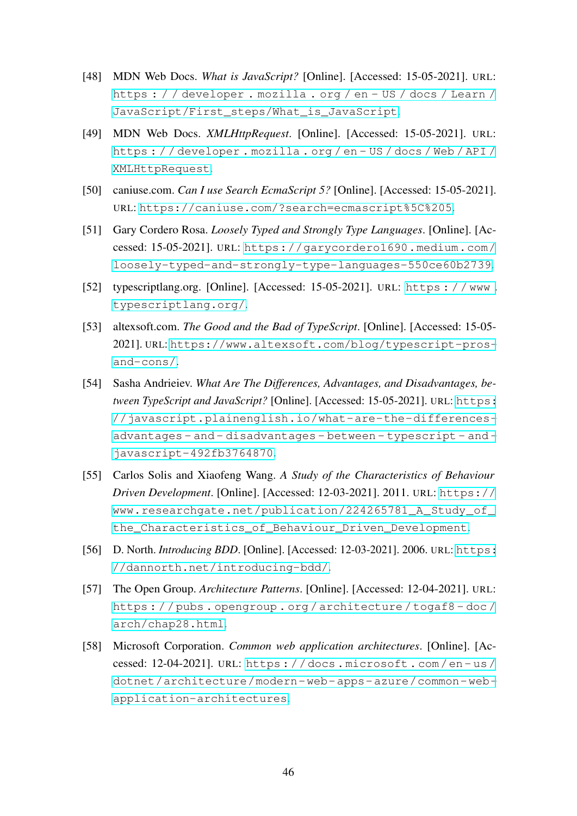- <span id="page-45-0"></span>[48] MDN Web Docs. *What is JavaScript?* [Online]. [Accessed: 15-05-2021]. URL: [https : / / developer . mozilla . org / en - US / docs / Learn /](https://developer.mozilla.org/en-US/docs/Learn/JavaScript/First_steps/What_is_JavaScript) [JavaScript/First\\_steps/What\\_is\\_JavaScript](https://developer.mozilla.org/en-US/docs/Learn/JavaScript/First_steps/What_is_JavaScript).
- <span id="page-45-1"></span>[49] MDN Web Docs. *XMLHttpRequest*. [Online]. [Accessed: 15-05-2021]. URL: [https : / / developer . mozilla . org / en - US / docs / Web / API /](https://developer.mozilla.org/en-US/docs/Web/API/XMLHttpRequest) [XMLHttpRequest](https://developer.mozilla.org/en-US/docs/Web/API/XMLHttpRequest).
- <span id="page-45-2"></span>[50] caniuse.com. *Can I use Search EcmaScript 5?* [Online]. [Accessed: 15-05-2021]. URL: <https://caniuse.com/?search=ecmascript%5C%205>.
- <span id="page-45-3"></span>[51] Gary Cordero Rosa. *Loosely Typed and Strongly Type Languages*. [Online]. [Accessed: 15-05-2021]. URL: [https://garycordero1690.medium.com/](https://garycordero1690.medium.com/loosely-typed-and-strongly-type-languages-550ce60b2739) [loosely-typed-and-strongly-type-languages-550ce60b2739](https://garycordero1690.medium.com/loosely-typed-and-strongly-type-languages-550ce60b2739).
- <span id="page-45-4"></span>[52] typescriptlang.org. [Online]. [Accessed: 15-05-2021]. URL: [https : / / www .](https://www.typescriptlang.org/) [typescriptlang.org/](https://www.typescriptlang.org/).
- <span id="page-45-5"></span>[53] altexsoft.com. *The Good and the Bad of TypeScript*. [Online]. [Accessed: 15-05- 2021]. URL: [https://www.altexsoft.com/blog/typescript-pros](https://www.altexsoft.com/blog/typescript-pros-and-cons/)[and-cons/](https://www.altexsoft.com/blog/typescript-pros-and-cons/).
- <span id="page-45-6"></span>[54] Sasha Andrieiev. *What Are The Differences, Advantages, and Disadvantages, between TypeScript and JavaScript?* [Online]. [Accessed: 15-05-2021]. URL: [https:](https://javascript.plainenglish.io/what-are-the-differences-advantages-and-disadvantages-between-typescript-and-javascript-492fb3764870) [//javascript.plainenglish.io/what-are-the-differences](https://javascript.plainenglish.io/what-are-the-differences-advantages-and-disadvantages-between-typescript-and-javascript-492fb3764870)[advantages - and - disadvantages - between - typescript - and](https://javascript.plainenglish.io/what-are-the-differences-advantages-and-disadvantages-between-typescript-and-javascript-492fb3764870)  [javascript-492fb3764870](https://javascript.plainenglish.io/what-are-the-differences-advantages-and-disadvantages-between-typescript-and-javascript-492fb3764870).
- <span id="page-45-7"></span>[55] Carlos Solis and Xiaofeng Wang. *A Study of the Characteristics of Behaviour Driven Development*. [Online]. [Accessed: 12-03-2021]. 2011. URL: [https://](https://www.researchgate.net/publication/224265781_A_Study_of_the_Characteristics_of_Behaviour_Driven_Development) [www.researchgate.net/publication/224265781\\_A\\_Study\\_of\\_](https://www.researchgate.net/publication/224265781_A_Study_of_the_Characteristics_of_Behaviour_Driven_Development) [the\\_Characteristics\\_of\\_Behaviour\\_Driven\\_Development](https://www.researchgate.net/publication/224265781_A_Study_of_the_Characteristics_of_Behaviour_Driven_Development).
- <span id="page-45-8"></span>[56] D. North. *Introducing BDD*. [Online]. [Accessed: 12-03-2021]. 2006. URL: [https:](https://dannorth.net/introducing-bdd/) [//dannorth.net/introducing-bdd/](https://dannorth.net/introducing-bdd/).
- <span id="page-45-9"></span>[57] The Open Group. *Architecture Patterns*. [Online]. [Accessed: 12-04-2021]. URL: [https : / / pubs . opengroup . org / architecture / togaf8 - doc /](https://pubs.opengroup.org/architecture/togaf8-doc/arch/chap28.html) [arch/chap28.html](https://pubs.opengroup.org/architecture/togaf8-doc/arch/chap28.html).
- <span id="page-45-10"></span>[58] Microsoft Corporation. *Common web application architectures*. [Online]. [Accessed: 12-04-2021]. URL: [https : / / docs . microsoft . com / en - us /](https://docs.microsoft.com/en-us/dotnet/architecture/modern-web-apps-azure/common-web-application-architectures) [dotnet/architecture/modern- web- apps- azure/common- web](https://docs.microsoft.com/en-us/dotnet/architecture/modern-web-apps-azure/common-web-application-architectures)[application-architectures](https://docs.microsoft.com/en-us/dotnet/architecture/modern-web-apps-azure/common-web-application-architectures).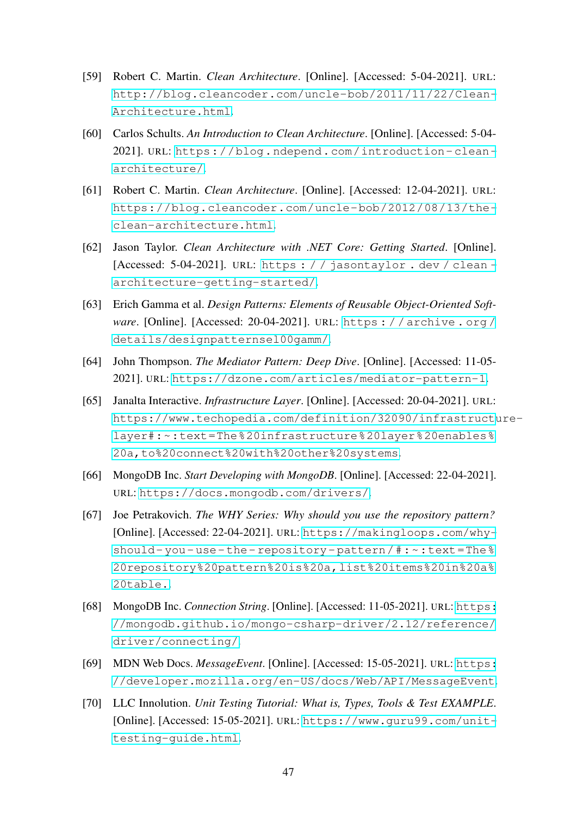- <span id="page-46-0"></span>[59] Robert C. Martin. *Clean Architecture*. [Online]. [Accessed: 5-04-2021]. URL: [http://blog.cleancoder.com/uncle-bob/2011/11/22/Clean-](http://blog.cleancoder.com/uncle-bob/2011/11/22/Clean-Architecture.html)[Architecture.html](http://blog.cleancoder.com/uncle-bob/2011/11/22/Clean-Architecture.html).
- <span id="page-46-1"></span>[60] Carlos Schults. *An Introduction to Clean Architecture*. [Online]. [Accessed: 5-04- 2021]. URL: [https://blog.ndepend.com/introduction- clean](https://blog.ndepend.com/introduction-clean-architecture/)[architecture/](https://blog.ndepend.com/introduction-clean-architecture/).
- <span id="page-46-2"></span>[61] Robert C. Martin. *Clean Architecture*. [Online]. [Accessed: 12-04-2021]. URL: [https://blog.cleancoder.com/uncle-bob/2012/08/13/the](https://blog.cleancoder.com/uncle-bob/2012/08/13/the-clean-architecture.html)[clean-architecture.html](https://blog.cleancoder.com/uncle-bob/2012/08/13/the-clean-architecture.html).
- <span id="page-46-3"></span>[62] Jason Taylor. *Clean Architecture with .NET Core: Getting Started*. [Online]. [Accessed: 5-04-2021]. URL: [https : / / jasontaylor . dev / clean](https://jasontaylor.dev/clean-architecture-getting-started/)  [architecture-getting-started/](https://jasontaylor.dev/clean-architecture-getting-started/).
- <span id="page-46-4"></span>[63] Erich Gamma et al. *Design Patterns: Elements of Reusable Object-Oriented Software*. [Online]. [Accessed: 20-04-2021]. URL: [https : / / archive . org /](https://archive.org/details/designpatternsel00gamm/) [details/designpatternsel00gamm/](https://archive.org/details/designpatternsel00gamm/).
- <span id="page-46-5"></span>[64] John Thompson. *The Mediator Pattern: Deep Dive*. [Online]. [Accessed: 11-05- 2021]. URL: <https://dzone.com/articles/mediator-pattern-1>.
- <span id="page-46-6"></span>[65] Janalta Interactive. *Infrastructure Layer*. [Online]. [Accessed: 20-04-2021]. URL: [https://www.techopedia.com/definition/32090/infrastruct](https://www.techopedia.com/definition/32090/infrastructure-layer#:~:text=The%20infrastructure%20layer%20enables%20a,to%20connect%20with%20other%20systems)ure[layer#:~:text=The%20infrastructure%20layer%20enables%](https://www.techopedia.com/definition/32090/infrastructure-layer#:~:text=The%20infrastructure%20layer%20enables%20a,to%20connect%20with%20other%20systems) [20a,to%20connect%20with%20other%20systems](https://www.techopedia.com/definition/32090/infrastructure-layer#:~:text=The%20infrastructure%20layer%20enables%20a,to%20connect%20with%20other%20systems).
- <span id="page-46-7"></span>[66] MongoDB Inc. *Start Developing with MongoDB*. [Online]. [Accessed: 22-04-2021]. URL: <https://docs.mongodb.com/drivers/>.
- <span id="page-46-8"></span>[67] Joe Petrakovich. *The WHY Series: Why should you use the repository pattern?* [Online]. [Accessed: 22-04-2021]. URL: [https://makingloops.com/why](https://makingloops.com/why-should-you-use-the-repository-pattern/#:~:text=The%20repository%20pattern%20is%20a,list%20items%20in%20a%20table.)should-you-use-the-repository-pattern/#: ~: text=The% [20repository%20pattern%20is%20a,list%20items%20in%20a%](https://makingloops.com/why-should-you-use-the-repository-pattern/#:~:text=The%20repository%20pattern%20is%20a,list%20items%20in%20a%20table.) [20table.](https://makingloops.com/why-should-you-use-the-repository-pattern/#:~:text=The%20repository%20pattern%20is%20a,list%20items%20in%20a%20table.).
- <span id="page-46-9"></span>[68] MongoDB Inc. *Connection String*. [Online]. [Accessed: 11-05-2021]. URL: [https:](https://mongodb.github.io/mongo-csharp-driver/2.12/reference/driver/connecting/) [//mongodb.github.io/mongo-csharp-driver/2.12/reference/](https://mongodb.github.io/mongo-csharp-driver/2.12/reference/driver/connecting/) [driver/connecting/](https://mongodb.github.io/mongo-csharp-driver/2.12/reference/driver/connecting/).
- <span id="page-46-10"></span>[69] MDN Web Docs. *MessageEvent*. [Online]. [Accessed: 15-05-2021]. URL: [https:](https://developer.mozilla.org/en-US/docs/Web/API/MessageEvent) [//developer.mozilla.org/en-US/docs/Web/API/MessageEvent](https://developer.mozilla.org/en-US/docs/Web/API/MessageEvent).
- <span id="page-46-11"></span>[70] LLC Innolution. *Unit Testing Tutorial: What is, Types, Tools & Test EXAMPLE*. [Online]. [Accessed: 15-05-2021]. URL: [https://www.guru99.com/unit](https://www.guru99.com/unit-testing-guide.html)[testing-guide.html](https://www.guru99.com/unit-testing-guide.html).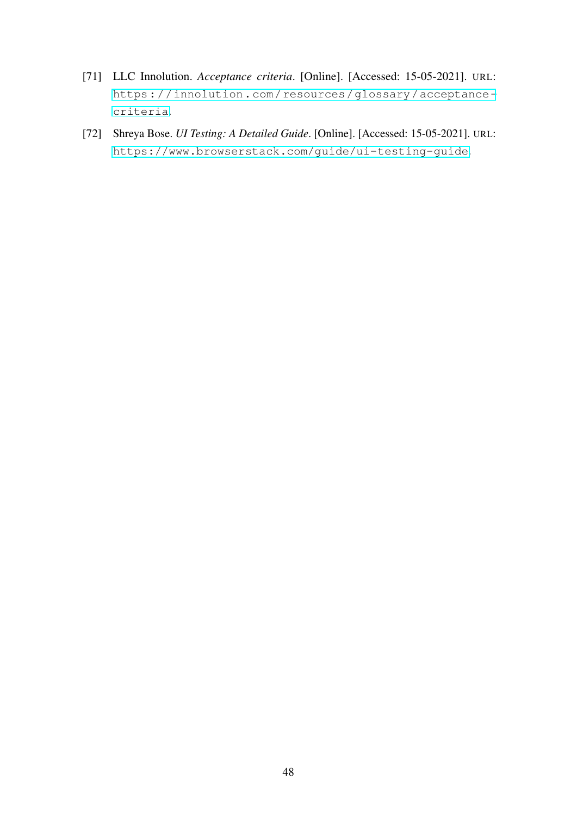- <span id="page-47-0"></span>[71] LLC Innolution. *Acceptance criteria*. [Online]. [Accessed: 15-05-2021]. URL: [https://innolution.com/resources/glossary/acceptance](https://innolution.com/resources/glossary/acceptance-criteria)[criteria](https://innolution.com/resources/glossary/acceptance-criteria).
- <span id="page-47-1"></span>[72] Shreya Bose. *UI Testing: A Detailed Guide*. [Online]. [Accessed: 15-05-2021]. URL: <https://www.browserstack.com/guide/ui-testing-guide>.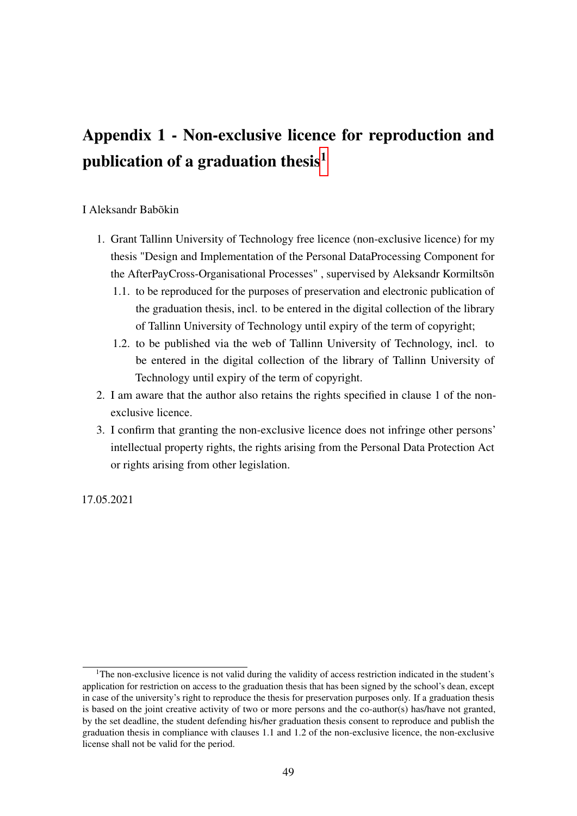# <span id="page-48-0"></span>Appendix 1 - Non-exclusive licence for reproduction and publication of a graduation thesis<sup>[1](#page-48-1)</sup>

#### I Aleksandr Babõkin

- 1. Grant Tallinn University of Technology free licence (non-exclusive licence) for my thesis "Design and Implementation of the Personal DataProcessing Component for the AfterPayCross-Organisational Processes" , supervised by Aleksandr Kormiltsõn
	- 1.1. to be reproduced for the purposes of preservation and electronic publication of the graduation thesis, incl. to be entered in the digital collection of the library of Tallinn University of Technology until expiry of the term of copyright;
	- 1.2. to be published via the web of Tallinn University of Technology, incl. to be entered in the digital collection of the library of Tallinn University of Technology until expiry of the term of copyright.
- 2. I am aware that the author also retains the rights specified in clause 1 of the nonexclusive licence.
- 3. I confirm that granting the non-exclusive licence does not infringe other persons' intellectual property rights, the rights arising from the Personal Data Protection Act or rights arising from other legislation.

17.05.2021

<span id="page-48-1"></span><sup>&</sup>lt;sup>1</sup>The non-exclusive licence is not valid during the validity of access restriction indicated in the student's application for restriction on access to the graduation thesis that has been signed by the school's dean, except in case of the university's right to reproduce the thesis for preservation purposes only. If a graduation thesis is based on the joint creative activity of two or more persons and the co-author(s) has/have not granted, by the set deadline, the student defending his/her graduation thesis consent to reproduce and publish the graduation thesis in compliance with clauses 1.1 and 1.2 of the non-exclusive licence, the non-exclusive license shall not be valid for the period.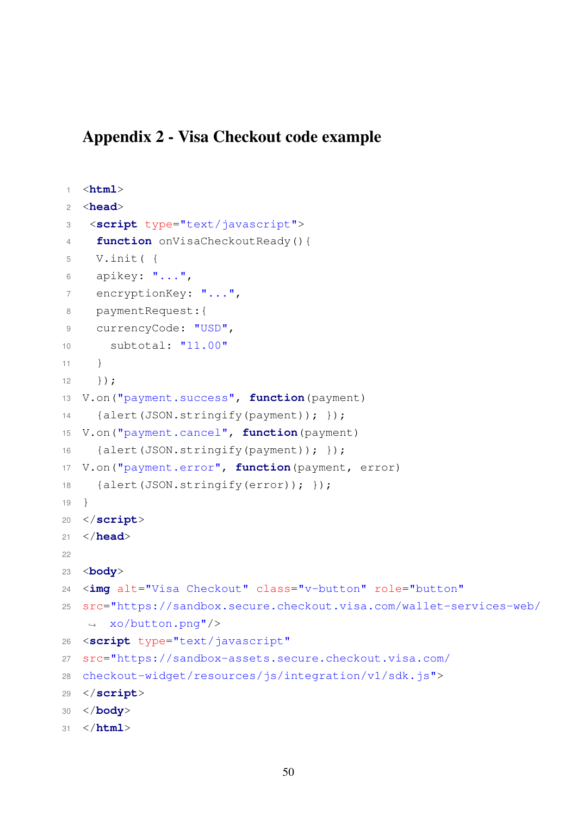# <span id="page-49-0"></span>Appendix 2 - Visa Checkout code example

```
1 <html>
2 <head>
3 <script type="text/javascript">
4 function onVisaCheckoutReady(){
5 V.init( {
6 apikey: "...",
7 encryptionKey: "...",
8 paymentRequest:{
9 currencyCode: "USD",
10 subtotal: "11.00"
11 }
12 \quad \{ \}13 V.on("payment.success", function(payment)
14 {alert(JSON.stringify(payment)); });
15 V.on("payment.cancel", function(payment)
16 {alert(JSON.stringify(payment)); });
17 V.on("payment.error", function(payment, error)
18 {alert(JSON.stringify(error)); });
19 }
20 </script>
21 </head>
2223 <body>
24 <img alt="Visa Checkout" class="v-button" role="button"
25 src="https://sandbox.secure.checkout.visa.com/wallet-services-web/
   ,→ xo/button.png"/>
26 <script type="text/javascript"
27 src="https://sandbox-assets.secure.checkout.visa.com/
28 checkout-widget/resources/js/integration/v1/sdk.js">
29 </script>
30 </body>
31 </html>
```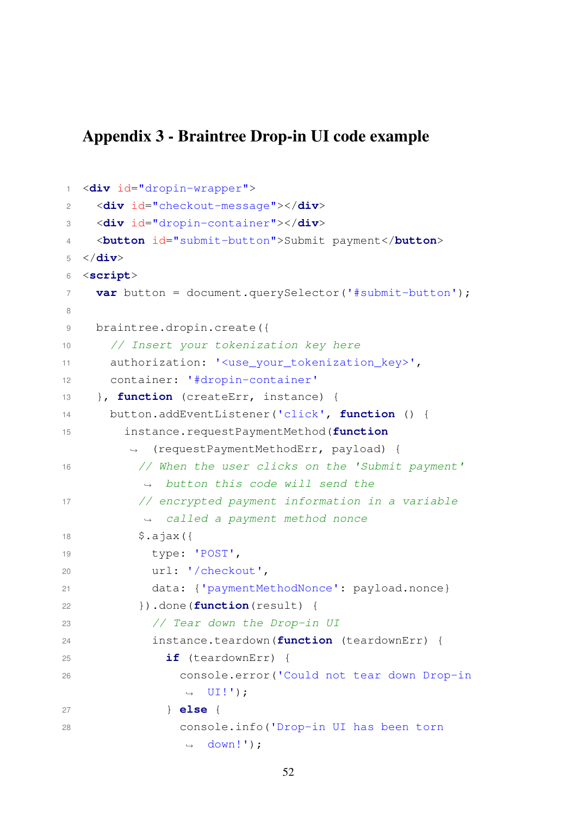# <span id="page-51-0"></span>Appendix 3 - Braintree Drop-in UI code example

```
1 <div id="dropin-wrapper">
2 <div id="checkout-message"></div>
3 <div id="dropin-container"></div>
4 <button id="submit-button">Submit payment</button>
5 </div>
6 <script>
7 var button = document.querySelector('#submit-button');
8
9 braintree.dropin.create({
10 // Insert your tokenization key here
11 authorization: '<use_your_tokenization_key>',
12 container: '#dropin-container'
13 }, function (createErr, instance) {
14 button.addEventListener('click', function () {
15 instance.requestPaymentMethod(function
        ,→ (requestPaymentMethodErr, payload) {
16 // When the user clicks on the 'Submit payment'
          ,→ button this code will send the
17 // encrypted payment information in a variable
          \rightarrow called a payment method nonce
18 $.ajax({
19 type: 'POST',
20 url: '/checkout',
21 data: {'paymentMethodNonce': payload.nonce}
22 }).done(function(result) {
23 // Tear down the Drop-in UI
24 instance.teardown(function (teardownErr) {
25 if (teardownErr) {
26 console.error('Could not tear down Drop-in
               \rightarrow UI!');
27 } else {
28 console.info('Drop-in UI has been torn
               \rightarrow down!');
```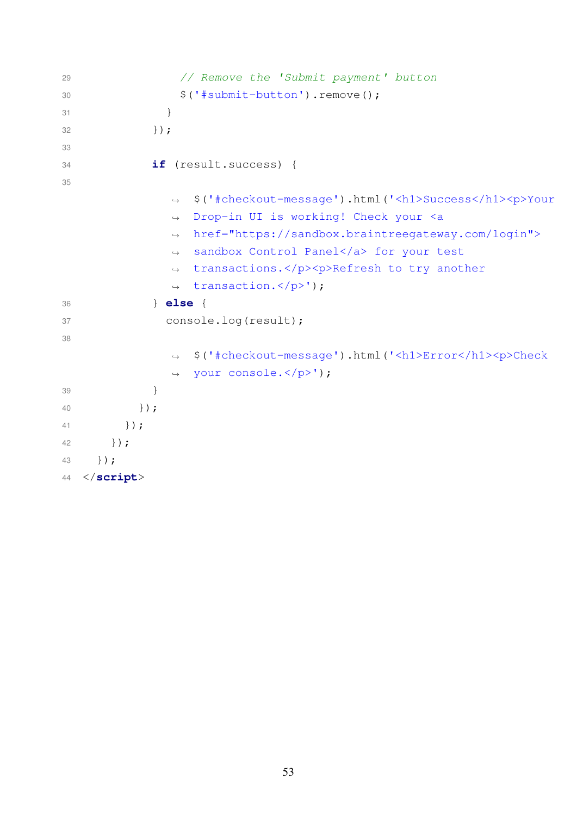```
29 // Remove the 'Submit payment' button
30 $('#submit-button').remove();
31 }
32 }33
34 if (result.success) {
35
               → $('#checkout-message').html('<h1>Success</h1><p>Your
                Drop-in UI is working! Check your <a
                href="https://sandbox.braintreegateway.com/login">
               → sandbox Control Panel</a> for your test
                transactions.</p><p>Refresh to try another
               → transaction.</p>');
              \hookrightarrow\rightarrow\hookrightarrow36 } else {
37 console.log(result);
38
                 $('#checkout-message').html('<h1>Error</h1><p>Check
                your console.</p>');
              \hookrightarrow\hookrightarrow39 }
40 });
41 });
42 });
43 });
44 </script>
```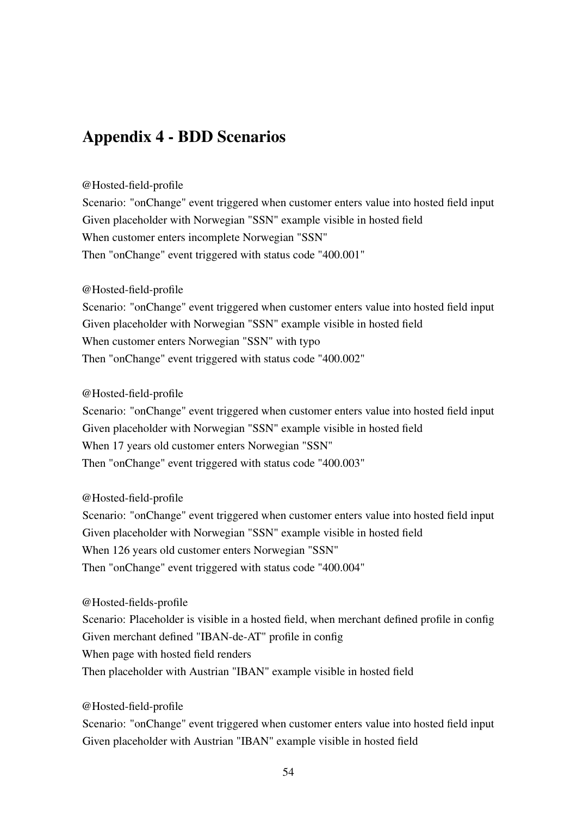# <span id="page-53-0"></span>Appendix 4 - BDD Scenarios

#### @Hosted-field-profile

Scenario: "onChange" event triggered when customer enters value into hosted field input Given placeholder with Norwegian "SSN" example visible in hosted field When customer enters incomplete Norwegian "SSN" Then "onChange" event triggered with status code "400.001"

#### @Hosted-field-profile

Scenario: "onChange" event triggered when customer enters value into hosted field input Given placeholder with Norwegian "SSN" example visible in hosted field When customer enters Norwegian "SSN" with typo Then "onChange" event triggered with status code "400.002"

@Hosted-field-profile

Scenario: "onChange" event triggered when customer enters value into hosted field input Given placeholder with Norwegian "SSN" example visible in hosted field When 17 years old customer enters Norwegian "SSN" Then "onChange" event triggered with status code "400.003"

@Hosted-field-profile

Scenario: "onChange" event triggered when customer enters value into hosted field input Given placeholder with Norwegian "SSN" example visible in hosted field When 126 years old customer enters Norwegian "SSN" Then "onChange" event triggered with status code "400.004"

@Hosted-fields-profile

Scenario: Placeholder is visible in a hosted field, when merchant defined profile in config Given merchant defined "IBAN-de-AT" profile in config When page with hosted field renders Then placeholder with Austrian "IBAN" example visible in hosted field

@Hosted-field-profile

Scenario: "onChange" event triggered when customer enters value into hosted field input Given placeholder with Austrian "IBAN" example visible in hosted field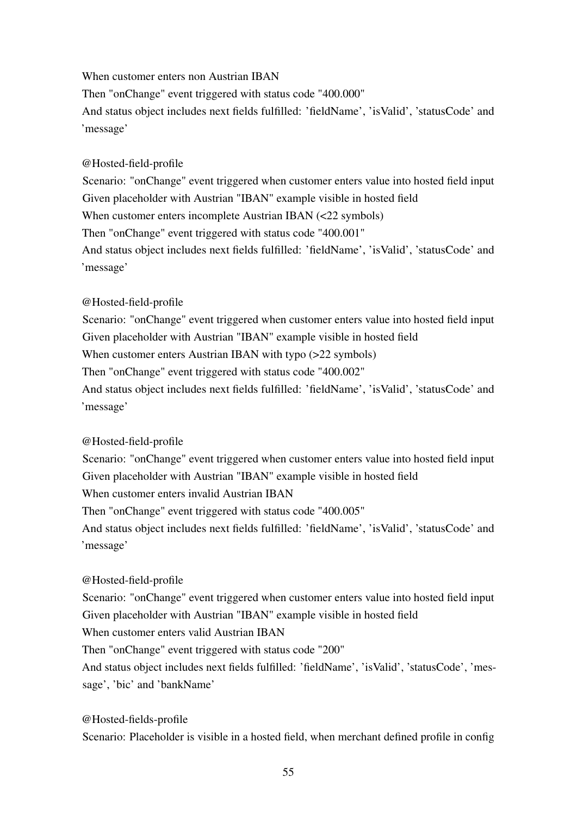When customer enters non Austrian IBAN Then "onChange" event triggered with status code "400.000" And status object includes next fields fulfilled: 'fieldName', 'isValid', 'statusCode' and 'message'

#### @Hosted-field-profile

Scenario: "onChange" event triggered when customer enters value into hosted field input Given placeholder with Austrian "IBAN" example visible in hosted field When customer enters incomplete Austrian IBAN (<22 symbols) Then "onChange" event triggered with status code "400.001" And status object includes next fields fulfilled: 'fieldName', 'isValid', 'statusCode' and 'message'

### @Hosted-field-profile

Scenario: "onChange" event triggered when customer enters value into hosted field input Given placeholder with Austrian "IBAN" example visible in hosted field When customer enters Austrian IBAN with typo (>22 symbols) Then "onChange" event triggered with status code "400.002" And status object includes next fields fulfilled: 'fieldName', 'isValid', 'statusCode' and 'message'

@Hosted-field-profile

Scenario: "onChange" event triggered when customer enters value into hosted field input Given placeholder with Austrian "IBAN" example visible in hosted field When customer enters invalid Austrian IBAN Then "onChange" event triggered with status code "400.005" And status object includes next fields fulfilled: 'fieldName', 'isValid', 'statusCode' and 'message'

@Hosted-field-profile Scenario: "onChange" event triggered when customer enters value into hosted field input Given placeholder with Austrian "IBAN" example visible in hosted field When customer enters valid Austrian IBAN Then "onChange" event triggered with status code "200" And status object includes next fields fulfilled: 'fieldName', 'isValid', 'statusCode', 'message', 'bic' and 'bankName'

@Hosted-fields-profile Scenario: Placeholder is visible in a hosted field, when merchant defined profile in config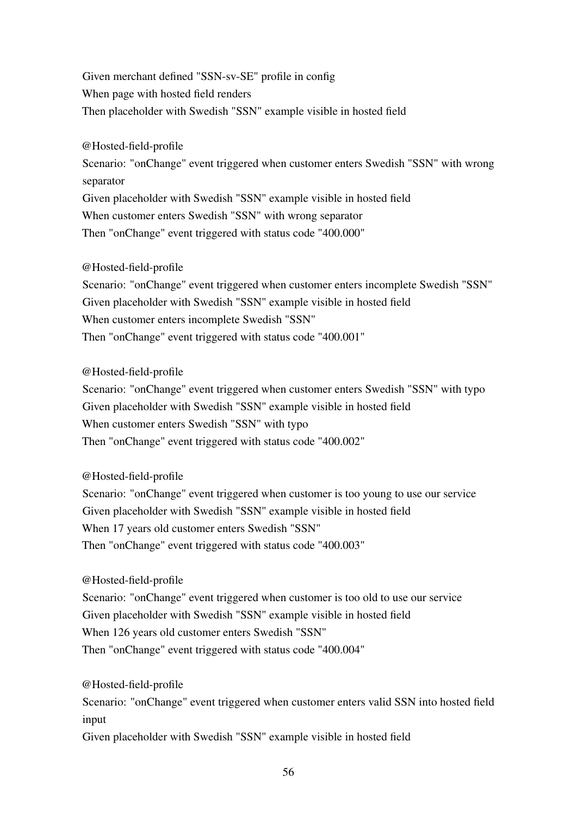Given merchant defined "SSN-sv-SE" profile in config When page with hosted field renders Then placeholder with Swedish "SSN" example visible in hosted field

@Hosted-field-profile

Scenario: "onChange" event triggered when customer enters Swedish "SSN" with wrong separator Given placeholder with Swedish "SSN" example visible in hosted field When customer enters Swedish "SSN" with wrong separator Then "onChange" event triggered with status code "400.000"

@Hosted-field-profile

Scenario: "onChange" event triggered when customer enters incomplete Swedish "SSN" Given placeholder with Swedish "SSN" example visible in hosted field When customer enters incomplete Swedish "SSN" Then "onChange" event triggered with status code "400.001"

@Hosted-field-profile

Scenario: "onChange" event triggered when customer enters Swedish "SSN" with typo Given placeholder with Swedish "SSN" example visible in hosted field When customer enters Swedish "SSN" with typo Then "onChange" event triggered with status code "400.002"

@Hosted-field-profile

Scenario: "onChange" event triggered when customer is too young to use our service Given placeholder with Swedish "SSN" example visible in hosted field When 17 years old customer enters Swedish "SSN" Then "onChange" event triggered with status code "400.003"

@Hosted-field-profile

Scenario: "onChange" event triggered when customer is too old to use our service Given placeholder with Swedish "SSN" example visible in hosted field When 126 years old customer enters Swedish "SSN" Then "onChange" event triggered with status code "400.004"

@Hosted-field-profile Scenario: "onChange" event triggered when customer enters valid SSN into hosted field input Given placeholder with Swedish "SSN" example visible in hosted field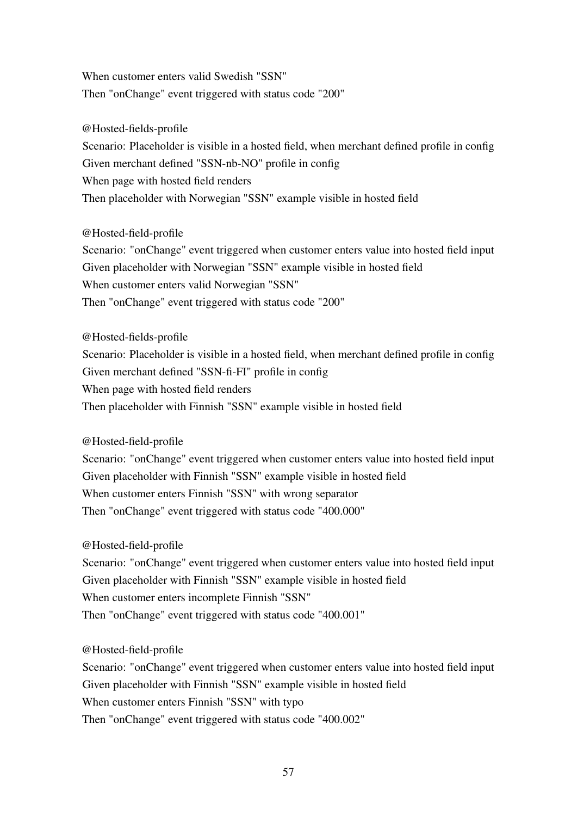When customer enters valid Swedish "SSN" Then "onChange" event triggered with status code "200"

@Hosted-fields-profile Scenario: Placeholder is visible in a hosted field, when merchant defined profile in config Given merchant defined "SSN-nb-NO" profile in config When page with hosted field renders Then placeholder with Norwegian "SSN" example visible in hosted field

@Hosted-field-profile Scenario: "onChange" event triggered when customer enters value into hosted field input Given placeholder with Norwegian "SSN" example visible in hosted field When customer enters valid Norwegian "SSN" Then "onChange" event triggered with status code "200"

@Hosted-fields-profile Scenario: Placeholder is visible in a hosted field, when merchant defined profile in config Given merchant defined "SSN-fi-FI" profile in config When page with hosted field renders Then placeholder with Finnish "SSN" example visible in hosted field

@Hosted-field-profile

Scenario: "onChange" event triggered when customer enters value into hosted field input Given placeholder with Finnish "SSN" example visible in hosted field When customer enters Finnish "SSN" with wrong separator Then "onChange" event triggered with status code "400.000"

@Hosted-field-profile

Scenario: "onChange" event triggered when customer enters value into hosted field input Given placeholder with Finnish "SSN" example visible in hosted field When customer enters incomplete Finnish "SSN" Then "onChange" event triggered with status code "400.001"

@Hosted-field-profile

Scenario: "onChange" event triggered when customer enters value into hosted field input Given placeholder with Finnish "SSN" example visible in hosted field When customer enters Finnish "SSN" with typo Then "onChange" event triggered with status code "400.002"